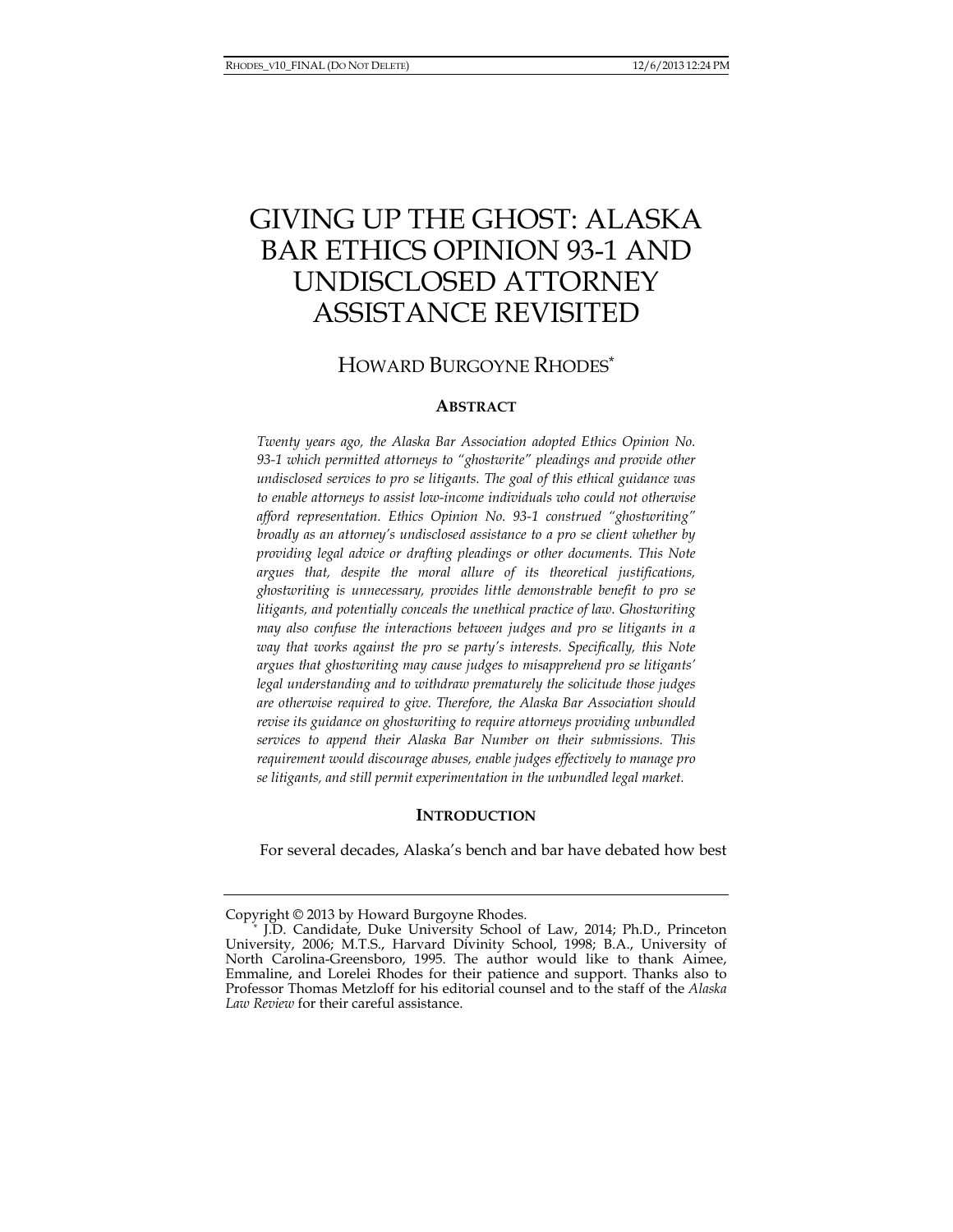# GIVING UP THE GHOST: ALASKA BAR ETHICS OPINION 93-1 AND UNDISCLOSED ATTORNEY ASSISTANCE REVISITED

## HOWARD BURGOYNE RHODES\*

#### **ABSTRACT**

*Twenty years ago, the Alaska Bar Association adopted Ethics Opinion No. 93-1 which permitted attorneys to "ghostwrite" pleadings and provide other undisclosed services to pro se litigants. The goal of this ethical guidance was to enable attorneys to assist low-income individuals who could not otherwise afford representation. Ethics Opinion No. 93-1 construed "ghostwriting" broadly as an attorney's undisclosed assistance to a pro se client whether by providing legal advice or drafting pleadings or other documents. This Note argues that, despite the moral allure of its theoretical justifications, ghostwriting is unnecessary, provides little demonstrable benefit to pro se litigants, and potentially conceals the unethical practice of law. Ghostwriting may also confuse the interactions between judges and pro se litigants in a way that works against the pro se party's interests. Specifically, this Note argues that ghostwriting may cause judges to misapprehend pro se litigants' legal understanding and to withdraw prematurely the solicitude those judges are otherwise required to give. Therefore, the Alaska Bar Association should revise its guidance on ghostwriting to require attorneys providing unbundled services to append their Alaska Bar Number on their submissions. This requirement would discourage abuses, enable judges effectively to manage pro se litigants, and still permit experimentation in the unbundled legal market.* 

#### **INTRODUCTION**

For several decades, Alaska's bench and bar have debated how best

Copyright © 2013 by Howard Burgoyne Rhodes. \* J.D. Candidate, Duke University School of Law, 2014; Ph.D., Princeton University, 2006; M.T.S., Harvard Divinity School, 1998; B.A., University of North Carolina-Greensboro, 1995. The author would like to thank Aimee, Emmaline, and Lorelei Rhodes for their patience and support. Thanks also to Professor Thomas Metzloff for his editorial counsel and to the staff of the *Alaska Law Review* for their careful assistance.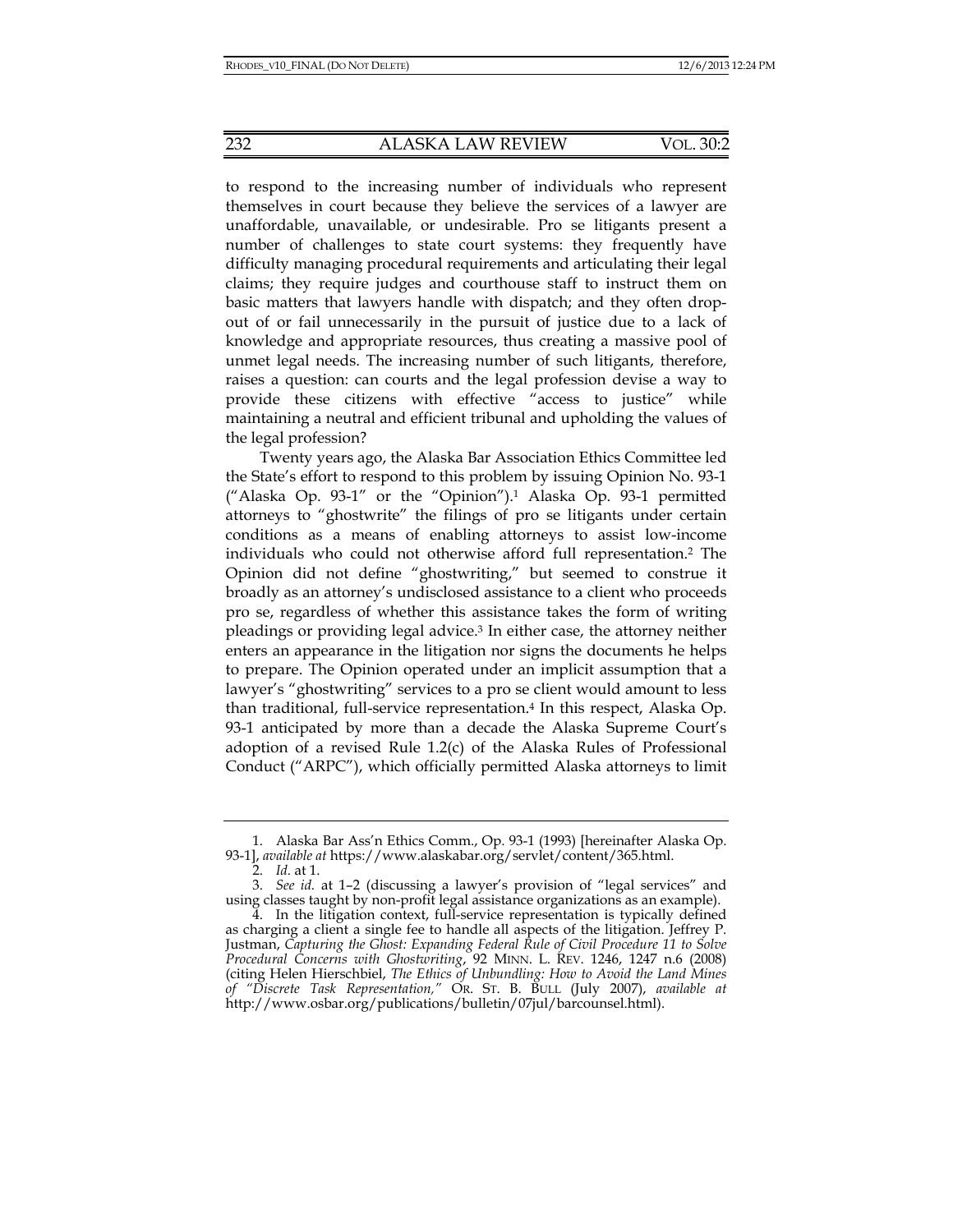to respond to the increasing number of individuals who represent themselves in court because they believe the services of a lawyer are unaffordable, unavailable, or undesirable. Pro se litigants present a number of challenges to state court systems: they frequently have difficulty managing procedural requirements and articulating their legal claims; they require judges and courthouse staff to instruct them on basic matters that lawyers handle with dispatch; and they often dropout of or fail unnecessarily in the pursuit of justice due to a lack of knowledge and appropriate resources, thus creating a massive pool of unmet legal needs. The increasing number of such litigants, therefore, raises a question: can courts and the legal profession devise a way to provide these citizens with effective "access to justice" while maintaining a neutral and efficient tribunal and upholding the values of the legal profession?

Twenty years ago, the Alaska Bar Association Ethics Committee led the State's effort to respond to this problem by issuing Opinion No. 93-1 ("Alaska Op. 93-1" or the "Opinion").1 Alaska Op. 93-1 permitted attorneys to "ghostwrite" the filings of pro se litigants under certain conditions as a means of enabling attorneys to assist low-income individuals who could not otherwise afford full representation.2 The Opinion did not define "ghostwriting," but seemed to construe it broadly as an attorney's undisclosed assistance to a client who proceeds pro se, regardless of whether this assistance takes the form of writing pleadings or providing legal advice.3 In either case, the attorney neither enters an appearance in the litigation nor signs the documents he helps to prepare. The Opinion operated under an implicit assumption that a lawyer's "ghostwriting" services to a pro se client would amount to less than traditional, full-service representation.4 In this respect, Alaska Op. 93-1 anticipated by more than a decade the Alaska Supreme Court's adoption of a revised Rule 1.2(c) of the Alaska Rules of Professional Conduct ("ARPC"), which officially permitted Alaska attorneys to limit

 <sup>1.</sup> Alaska Bar Ass'n Ethics Comm., Op. 93-1 (1993) [hereinafter Alaska Op. 93-1], *available at* https://www.alaskabar.org/servlet/content/365.html.

 <sup>2.</sup> *Id.* at 1.

 <sup>3.</sup> *See id.* at 1–2 (discussing a lawyer's provision of "legal services" and using classes taught by non-profit legal assistance organizations as an example).

 <sup>4.</sup> In the litigation context, full-service representation is typically defined as charging a client a single fee to handle all aspects of the litigation. Jeffrey P. Justman, *Capturing the Ghost: Expanding Federal Rule of Civil Procedure 11 to Solve Procedural Concerns with Ghostwriting*, 92 MINN. L. REV. 1246, 1247 n.6 (2008) (citing Helen Hierschbiel, *The Ethics of Unbundling: How to Avoid the Land Mines of "Discrete Task Representation,"* OR. ST. B. BULL (July 2007), *available at* http://www.osbar.org/publications/bulletin/07jul/barcounsel.html).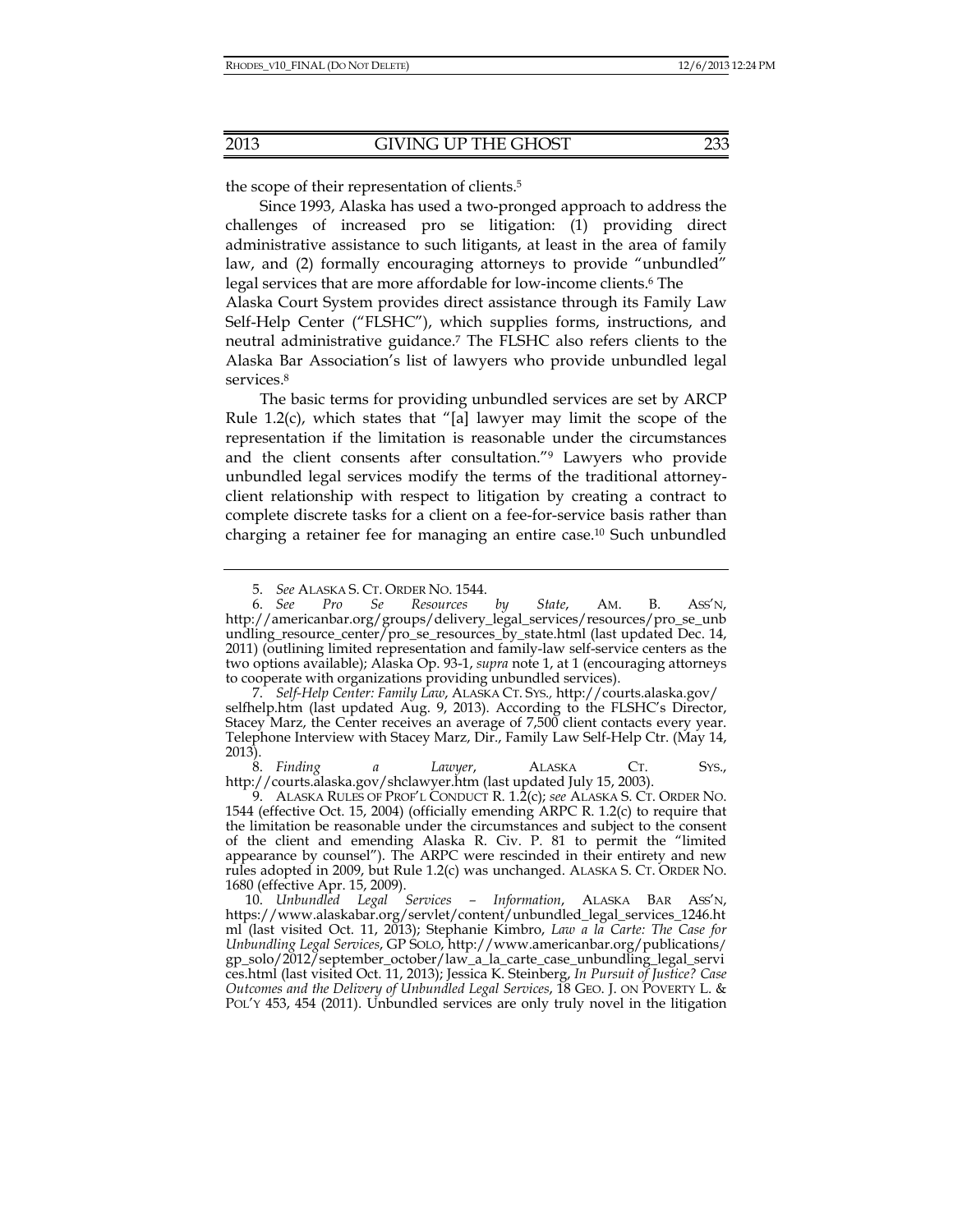the scope of their representation of clients.5

Since 1993, Alaska has used a two-pronged approach to address the challenges of increased pro se litigation: (1) providing direct administrative assistance to such litigants, at least in the area of family law, and (2) formally encouraging attorneys to provide "unbundled" legal services that are more affordable for low-income clients.<sup>6</sup> The

Alaska Court System provides direct assistance through its Family Law Self-Help Center ("FLSHC"), which supplies forms, instructions, and neutral administrative guidance.7 The FLSHC also refers clients to the Alaska Bar Association's list of lawyers who provide unbundled legal services.<sup>8</sup>

The basic terms for providing unbundled services are set by ARCP Rule 1.2(c), which states that "[a] lawyer may limit the scope of the representation if the limitation is reasonable under the circumstances and the client consents after consultation."9 Lawyers who provide unbundled legal services modify the terms of the traditional attorneyclient relationship with respect to litigation by creating a contract to complete discrete tasks for a client on a fee-for-service basis rather than charging a retainer fee for managing an entire case.10 Such unbundled

 8. *Finding a Lawyer*, ALASKA CT. SYS., http://courts.alaska.gov/shclawyer.htm (last updated July 15, 2003).

 9. ALASKA RULES OF PROF'L CONDUCT R. 1.2(c); *see* ALASKA S. CT. ORDER NO. 1544 (effective Oct. 15, 2004) (officially emending ARPC R. 1.2(c) to require that the limitation be reasonable under the circumstances and subject to the consent of the client and emending Alaska R. Civ. P. 81 to permit the "limited appearance by counsel"). The ARPC were rescinded in their entirety and new rules adopted in 2009, but Rule 1.2(c) was unchanged. ALASKA S. CT. ORDER NO. 1680 (effective Apr. 15, 2009).

 <sup>5.</sup> *See* ALASKA S. CT. ORDER NO. 1544.

 <sup>6.</sup> *See Pro Se Resources by State*, AM. B. ASS'N, http://americanbar.org/groups/delivery\_legal\_services/resources/pro\_se\_unb undling\_resource\_center/pro\_se\_resources\_by\_state.html (last updated Dec. 14, 2011) (outlining limited representation and family-law self-service centers as the two options available); Alaska Op. 93-1, *supra* note 1, at 1 (encouraging attorneys to cooperate with organizations providing unbundled services).

 <sup>7.</sup> *Self-Help Center: Family Law*, ALASKA CT. SYS.*,* http://courts.alaska.gov/ selfhelp.htm (last updated Aug. 9, 2013). According to the FLSHC's Director, Stacey Marz, the Center receives an average of 7,500 client contacts every year. Telephone Interview with Stacey Marz, Dir., Family Law Self-Help Ctr. (May 14, 2013).

 <sup>10.</sup> *Unbundled Legal Services – Information*, ALASKA BAR ASS'N, https://www.alaskabar.org/servlet/content/unbundled\_legal\_services\_1246.ht ml (last visited Oct. 11, 2013); Stephanie Kimbro, *Law a la Carte: The Case for Unbundling Legal Services*, GP SOLO, http://www.americanbar.org/publications/ gp\_solo/2012/september\_october/law\_a\_la\_carte\_case\_unbundling\_legal\_servi ces.html (last visited Oct. 11, 2013); Jessica K. Steinberg, *In Pursuit of Justice? Case Outcomes and the Delivery of Unbundled Legal Services*, 18 GEO. J. ON POVERTY L. & POL'Y 453, 454 (2011). Unbundled services are only truly novel in the litigation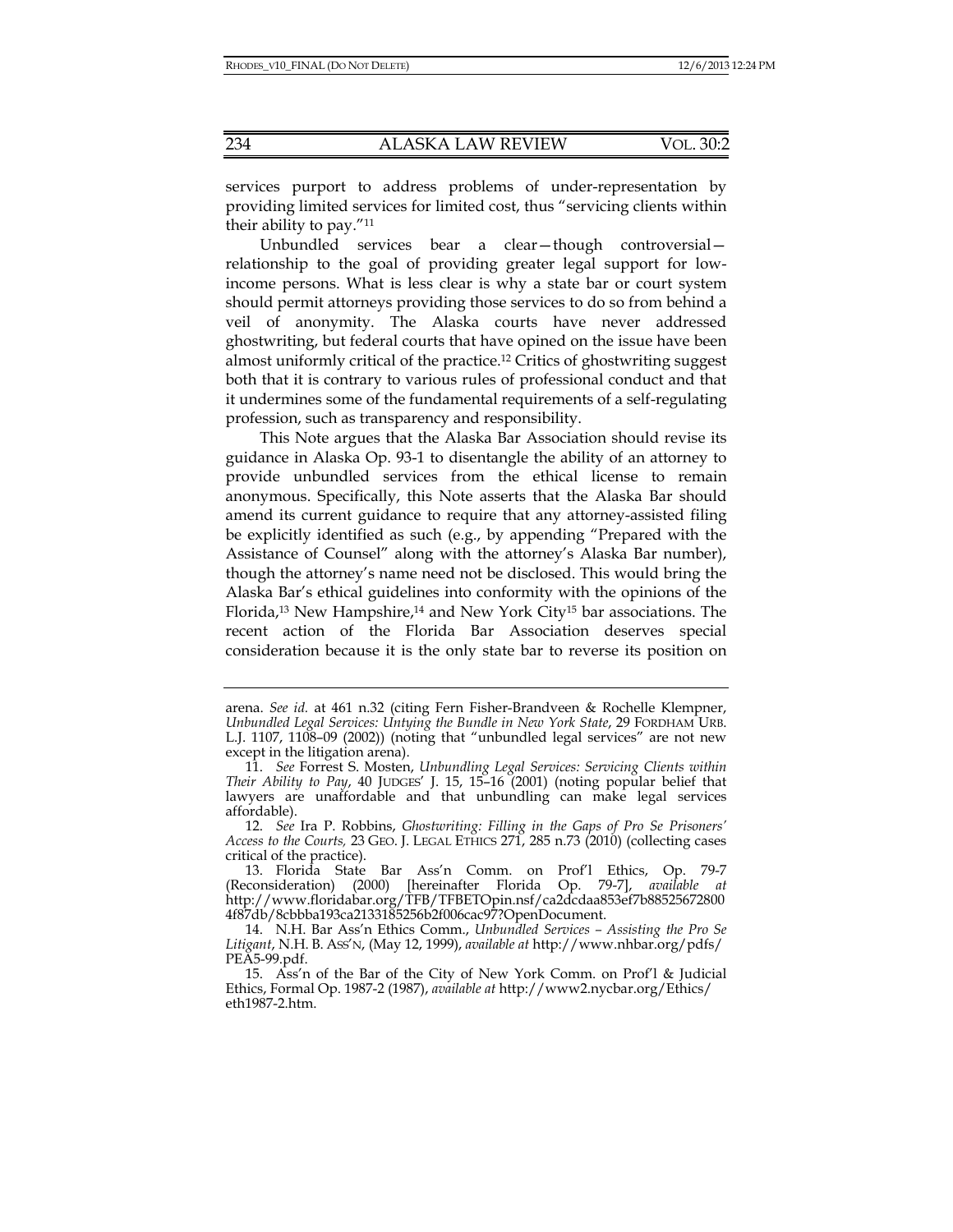services purport to address problems of under-representation by providing limited services for limited cost, thus "servicing clients within their ability to pay."11

Unbundled services bear a clear—though controversial relationship to the goal of providing greater legal support for lowincome persons. What is less clear is why a state bar or court system should permit attorneys providing those services to do so from behind a veil of anonymity. The Alaska courts have never addressed ghostwriting, but federal courts that have opined on the issue have been almost uniformly critical of the practice.12 Critics of ghostwriting suggest both that it is contrary to various rules of professional conduct and that it undermines some of the fundamental requirements of a self-regulating profession, such as transparency and responsibility.

This Note argues that the Alaska Bar Association should revise its guidance in Alaska Op. 93-1 to disentangle the ability of an attorney to provide unbundled services from the ethical license to remain anonymous. Specifically, this Note asserts that the Alaska Bar should amend its current guidance to require that any attorney-assisted filing be explicitly identified as such (e.g., by appending "Prepared with the Assistance of Counsel" along with the attorney's Alaska Bar number), though the attorney's name need not be disclosed. This would bring the Alaska Bar's ethical guidelines into conformity with the opinions of the Florida,<sup>13</sup> New Hampshire,<sup>14</sup> and New York City<sup>15</sup> bar associations. The recent action of the Florida Bar Association deserves special consideration because it is the only state bar to reverse its position on

arena. *See id.* at 461 n.32 (citing Fern Fisher-Brandveen & Rochelle Klempner, *Unbundled Legal Services: Untying the Bundle in New York State*, 29 FORDHAM URB. L.J. 1107, 1108–09 (2002)) (noting that "unbundled legal services" are not new except in the litigation arena).

 <sup>11.</sup> *See* Forrest S. Mosten, *Unbundling Legal Services: Servicing Clients within Their Ability to Pay*, 40 JUDGES' J. 15, 15–16 (2001) (noting popular belief that lawyers are unaffordable and that unbundling can make legal services affordable).

 <sup>12.</sup> *See* Ira P. Robbins, *Ghostwriting: Filling in the Gaps of Pro Se Prisoners' Access to the Courts,* 23 GEO. J. LEGAL ETHICS 271, 285 n.73 (2010) (collecting cases critical of the practice).

 <sup>13.</sup> Florida State Bar Ass'n Comm. on Prof'l Ethics, Op. 79-7 (Reconsideration) (2000) [hereinafter Florida Op. 79-7], *available at* http://www.floridabar.org/TFB/TFBETOpin.nsf/ca2dcdaa853ef7b88525672800 4f87db/8cbbba193ca2133185256b2f006cac97?OpenDocument.

 <sup>14.</sup> N.H. Bar Ass'n Ethics Comm., *Unbundled Services – Assisting the Pro Se Litigant*, N.H. B. ASS'N, (May 12, 1999), *available at* http://www.nhbar.org/pdfs/ PEA5-99.pdf.

 <sup>15.</sup> Ass'n of the Bar of the City of New York Comm. on Prof'l & Judicial Ethics, Formal Op. 1987-2 (1987), *available at* http://www2.nycbar.org/Ethics/ eth1987-2.htm.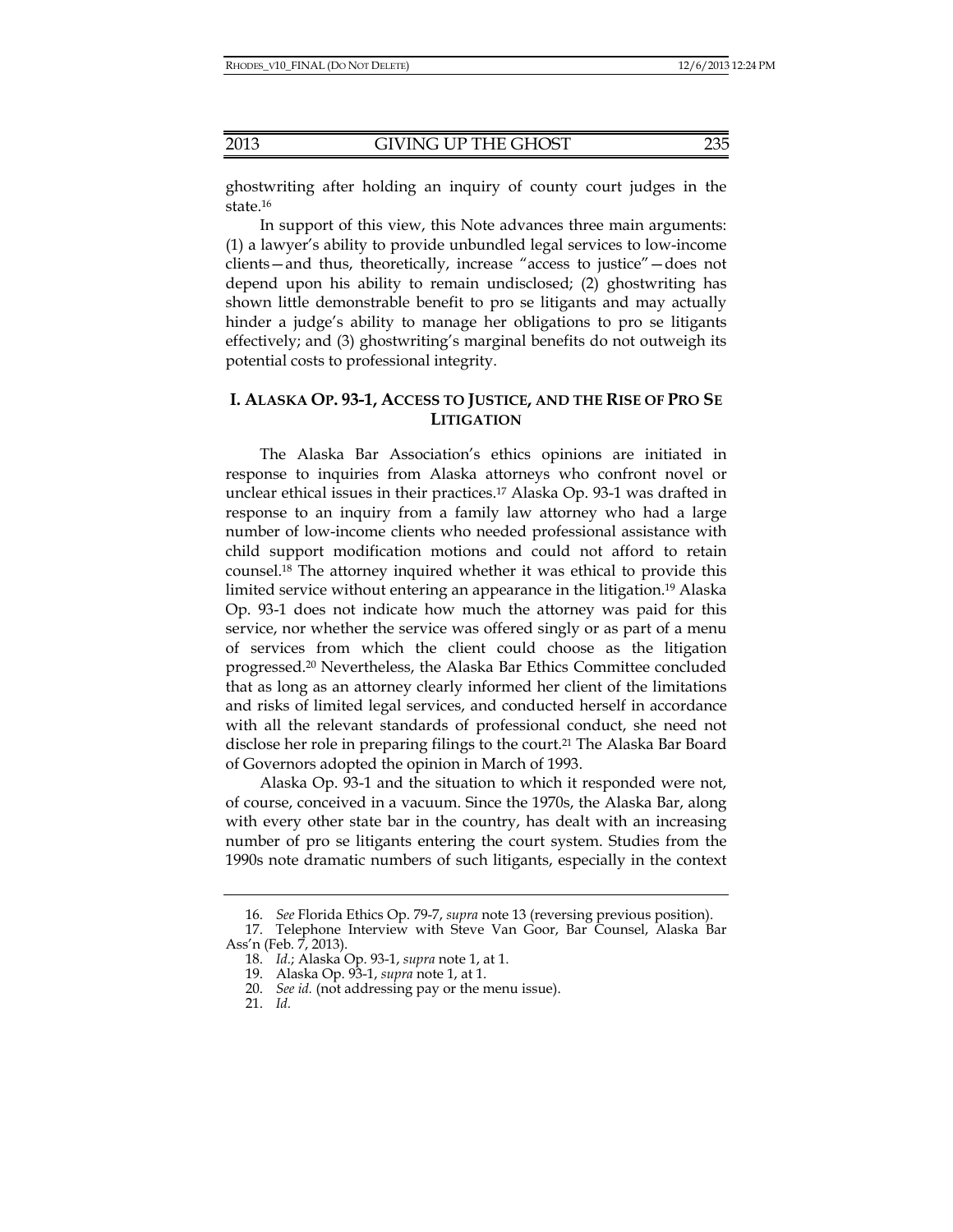ghostwriting after holding an inquiry of county court judges in the state.16

In support of this view, this Note advances three main arguments: (1) a lawyer's ability to provide unbundled legal services to low-income clients—and thus, theoretically, increase "access to justice"—does not depend upon his ability to remain undisclosed; (2) ghostwriting has shown little demonstrable benefit to pro se litigants and may actually hinder a judge's ability to manage her obligations to pro se litigants effectively; and (3) ghostwriting's marginal benefits do not outweigh its potential costs to professional integrity.

## **I. ALASKA OP. 93-1, ACCESS TO JUSTICE, AND THE RISE OF PRO SE LITIGATION**

The Alaska Bar Association's ethics opinions are initiated in response to inquiries from Alaska attorneys who confront novel or unclear ethical issues in their practices.17 Alaska Op. 93-1 was drafted in response to an inquiry from a family law attorney who had a large number of low-income clients who needed professional assistance with child support modification motions and could not afford to retain counsel.18 The attorney inquired whether it was ethical to provide this limited service without entering an appearance in the litigation.19 Alaska Op. 93-1 does not indicate how much the attorney was paid for this service, nor whether the service was offered singly or as part of a menu of services from which the client could choose as the litigation progressed.20 Nevertheless, the Alaska Bar Ethics Committee concluded that as long as an attorney clearly informed her client of the limitations and risks of limited legal services, and conducted herself in accordance with all the relevant standards of professional conduct, she need not disclose her role in preparing filings to the court.<sup>21</sup> The Alaska Bar Board of Governors adopted the opinion in March of 1993.

Alaska Op. 93-1 and the situation to which it responded were not, of course, conceived in a vacuum. Since the 1970s, the Alaska Bar, along with every other state bar in the country, has dealt with an increasing number of pro se litigants entering the court system. Studies from the 1990s note dramatic numbers of such litigants, especially in the context

 <sup>16.</sup> *See* Florida Ethics Op. 79-7, *supra* note 13 (reversing previous position).

 <sup>17.</sup> Telephone Interview with Steve Van Goor, Bar Counsel, Alaska Bar Ass'n (Feb. 7, 2013).

 <sup>18.</sup> *Id.*; Alaska Op. 93-1, *supra* note 1, at 1.

 <sup>19.</sup> Alaska Op. 93-1, *supra* note 1, at 1.

 <sup>20.</sup> *See id.* (not addressing pay or the menu issue).

 <sup>21.</sup> *Id.*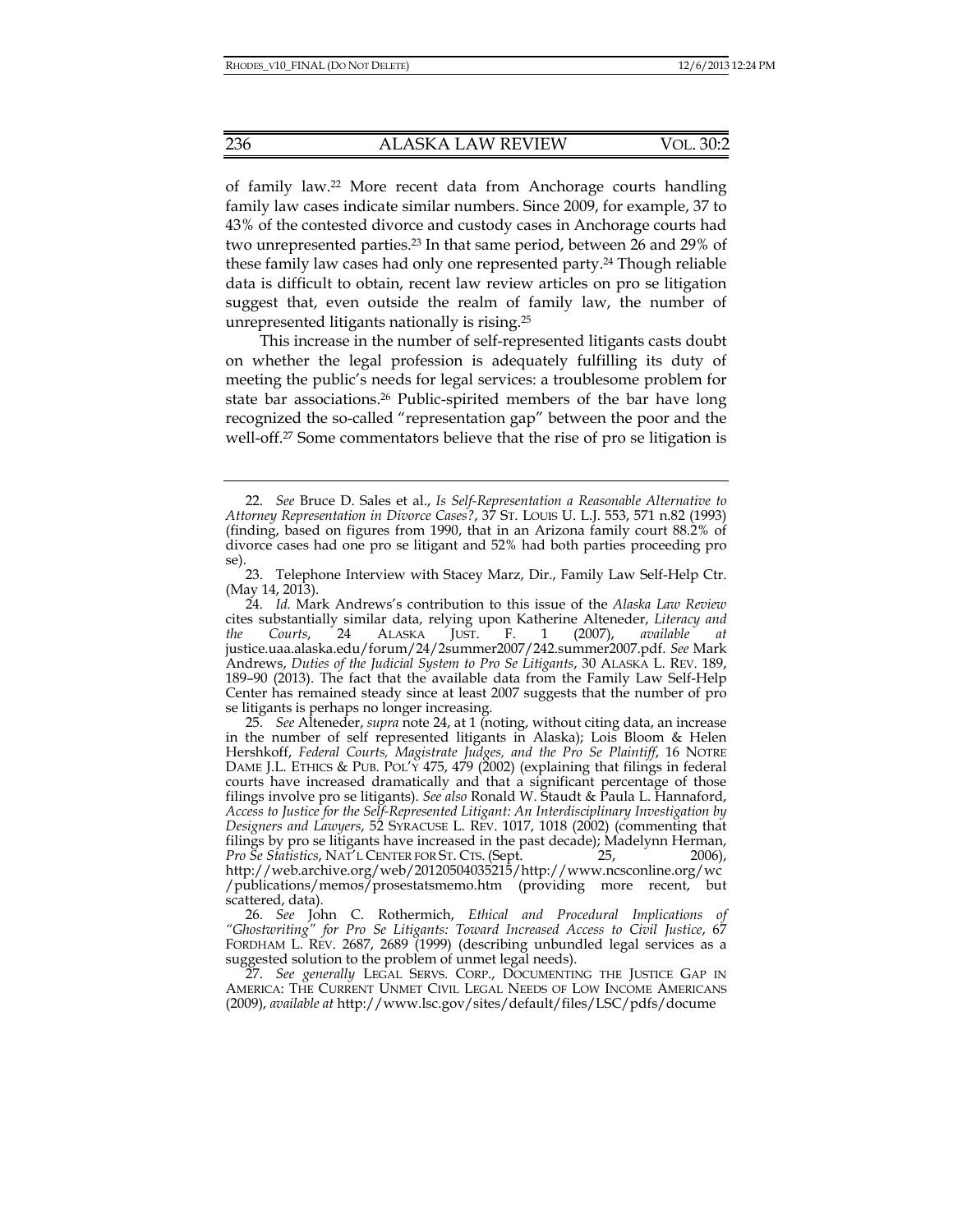of family law.22 More recent data from Anchorage courts handling family law cases indicate similar numbers. Since 2009, for example, 37 to 43% of the contested divorce and custody cases in Anchorage courts had two unrepresented parties.23 In that same period, between 26 and 29% of these family law cases had only one represented party.24 Though reliable data is difficult to obtain, recent law review articles on pro se litigation suggest that, even outside the realm of family law, the number of unrepresented litigants nationally is rising.25

This increase in the number of self-represented litigants casts doubt on whether the legal profession is adequately fulfilling its duty of meeting the public's needs for legal services: a troublesome problem for state bar associations.26 Public-spirited members of the bar have long recognized the so-called "representation gap" between the poor and the well-off.27 Some commentators believe that the rise of pro se litigation is

 24. *Id.* Mark Andrews's contribution to this issue of the *Alaska Law Review* cites substantially similar data, relying upon Katherine Alteneder, *Literacy and the Courts*, 24 ALASKA JUST. F. 1 (2007), *available at* justice.uaa.alaska.edu/forum/24/2summer2007/242.summer2007.pdf. *See* Mark Andrews, *Duties of the Judicial System to Pro Se Litigants*, 30 ALASKA L. REV. 189, 189–90 (2013). The fact that the available data from the Family Law Self-Help Center has remained steady since at least 2007 suggests that the number of pro se litigants is perhaps no longer increasing.

 25. *See* Alteneder, *supra* note 24, at 1 (noting, without citing data, an increase in the number of self represented litigants in Alaska); Lois Bloom & Helen Hershkoff, *Federal Courts, Magistrate Judges, and the Pro Se Plaintiff*, 16 NOTRE DAME J.L. ETHICS & PUB. POL'Y 475, 479 (2002) (explaining that filings in federal courts have increased dramatically and that a significant percentage of those filings involve pro se litigants). *See also* Ronald W. Staudt & Paula L. Hannaford, *Access to Justice for the Self-Represented Litigant: An Interdisciplinary Investigation by Designers and Lawyers*, 52 SYRACUSE L. REV. 1017, 1018 (2002) (commenting that filings by pro se litigants have increased in the past decade); Madelynn Herman, *Pro Se Statistics*, NAT'L CENTER FOR ST. CTS. (Sept. 25, 2006), http://web.archive.org/web/20120504035215/http://www.ncsconline.org/wc /publications/memos/prosestatsmemo.htm (providing more recent, but scattered, data).

 26. *See* John C. Rothermich, *Ethical and Procedural Implications of "Ghostwriting" for Pro Se Litigants: Toward Increased Access to Civil Justice*, 67 FORDHAM L. REV. 2687, 2689 (1999) (describing unbundled legal services as a suggested solution to the problem of unmet legal needs).

 27. *See generally* LEGAL SERVS. CORP., DOCUMENTING THE JUSTICE GAP IN AMERICA: THE CURRENT UNMET CIVIL LEGAL NEEDS OF LOW INCOME AMERICANS (2009), *available at* http://www.lsc.gov/sites/default/files/LSC/pdfs/docume

 <sup>22.</sup> *See* Bruce D. Sales et al., *Is Self-Representation a Reasonable Alternative to Attorney Representation in Divorce Cases?*, 37 ST. LOUIS U. L.J. 553, 571 n.82 (1993) (finding, based on figures from 1990, that in an Arizona family court 88.2% of divorce cases had one pro se litigant and 52% had both parties proceeding pro se).

 <sup>23.</sup> Telephone Interview with Stacey Marz, Dir., Family Law Self-Help Ctr. (May 14, 2013).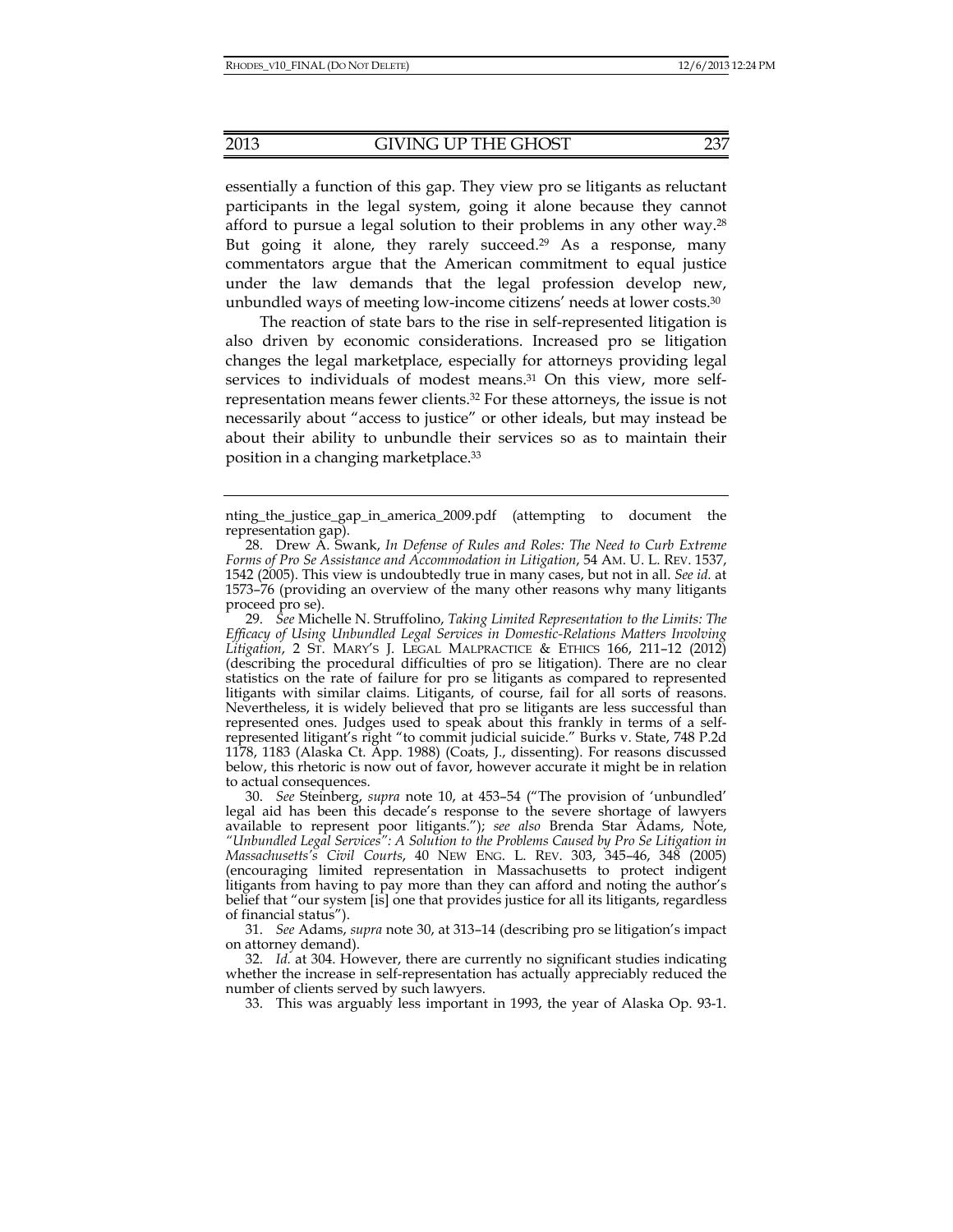essentially a function of this gap. They view pro se litigants as reluctant participants in the legal system, going it alone because they cannot afford to pursue a legal solution to their problems in any other way.28 But going it alone, they rarely succeed.<sup>29</sup> As a response, many commentators argue that the American commitment to equal justice under the law demands that the legal profession develop new, unbundled ways of meeting low-income citizens' needs at lower costs.30

The reaction of state bars to the rise in self-represented litigation is also driven by economic considerations. Increased pro se litigation changes the legal marketplace, especially for attorneys providing legal services to individuals of modest means.<sup>31</sup> On this view, more selfrepresentation means fewer clients.32 For these attorneys, the issue is not necessarily about "access to justice" or other ideals, but may instead be about their ability to unbundle their services so as to maintain their position in a changing marketplace.33

 30. *See* Steinberg, *supra* note 10, at 453–54 ("The provision of 'unbundled' legal aid has been this decade's response to the severe shortage of lawyers available to represent poor litigants."); *see also* Brenda Star Adams, Note, *"Unbundled Legal Services": A Solution to the Problems Caused by Pro Se Litigation in Massachusetts's Civil Courts*, 40 NEW ENG. L. REV. 303, 345–46, 348 (2005) (encouraging limited representation in Massachusetts to protect indigent litigants from having to pay more than they can afford and noting the author's belief that "our system [is] one that provides justice for all its litigants, regardless of financial status").

 31. *See* Adams, *supra* note 30, at 313–14 (describing pro se litigation's impact on attorney demand).

 32. *Id.* at 304. However, there are currently no significant studies indicating whether the increase in self-representation has actually appreciably reduced the number of clients served by such lawyers.

33. This was arguably less important in 1993, the year of Alaska Op. 93-1.

nting\_the\_justice\_gap\_in\_america\_2009.pdf (attempting to document the representation gap).

 <sup>28.</sup> Drew A. Swank, *In Defense of Rules and Roles: The Need to Curb Extreme Forms of Pro Se Assistance and Accommodation in Litigation*, 54 AM. U. L. REV. 1537, 1542 (2005). This view is undoubtedly true in many cases, but not in all. *See id.* at 1573–76 (providing an overview of the many other reasons why many litigants proceed pro se).

 <sup>29.</sup> *See* Michelle N. Struffolino, *Taking Limited Representation to the Limits: The Efficacy of Using Unbundled Legal Services in Domestic-Relations Matters Involving Litigation*, 2 ST. MARY'S J. LEGAL MALPRACTICE & ETHICS 166, 211–12 (2012) (describing the procedural difficulties of pro se litigation). There are no clear statistics on the rate of failure for pro se litigants as compared to represented litigants with similar claims. Litigants, of course, fail for all sorts of reasons. Nevertheless, it is widely believed that pro se litigants are less successful than represented ones. Judges used to speak about this frankly in terms of a selfrepresented litigant's right "to commit judicial suicide." Burks v. State, 748 P.2d 1178, 1183 (Alaska Ct. App. 1988) (Coats, J., dissenting). For reasons discussed below, this rhetoric is now out of favor, however accurate it might be in relation to actual consequences.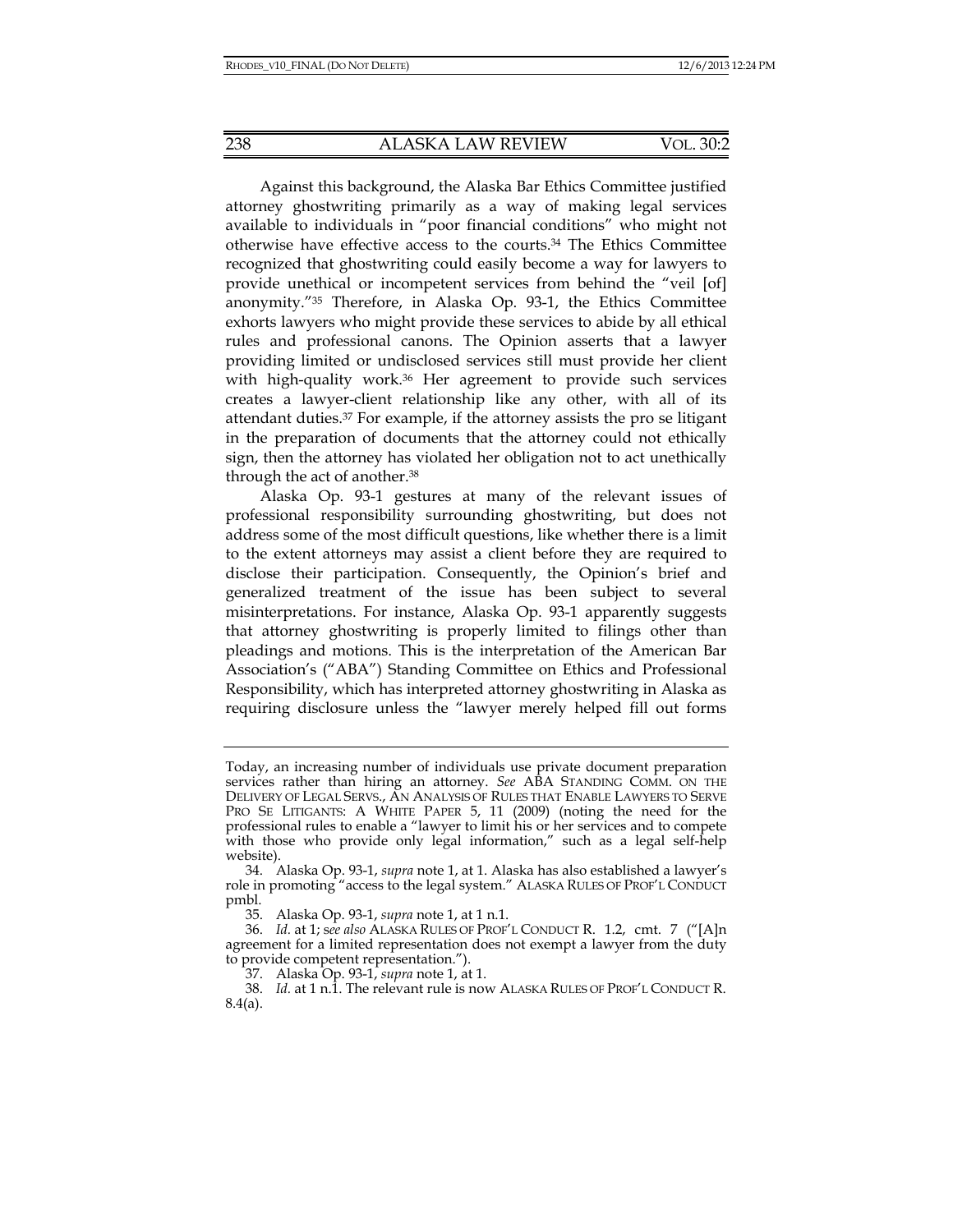Against this background, the Alaska Bar Ethics Committee justified attorney ghostwriting primarily as a way of making legal services available to individuals in "poor financial conditions" who might not otherwise have effective access to the courts.34 The Ethics Committee recognized that ghostwriting could easily become a way for lawyers to provide unethical or incompetent services from behind the "veil [of] anonymity."35 Therefore, in Alaska Op. 93-1, the Ethics Committee exhorts lawyers who might provide these services to abide by all ethical rules and professional canons. The Opinion asserts that a lawyer providing limited or undisclosed services still must provide her client with high-quality work.<sup>36</sup> Her agreement to provide such services creates a lawyer-client relationship like any other, with all of its attendant duties.37 For example, if the attorney assists the pro se litigant in the preparation of documents that the attorney could not ethically sign, then the attorney has violated her obligation not to act unethically through the act of another.38

Alaska Op. 93-1 gestures at many of the relevant issues of professional responsibility surrounding ghostwriting, but does not address some of the most difficult questions, like whether there is a limit to the extent attorneys may assist a client before they are required to disclose their participation. Consequently, the Opinion's brief and generalized treatment of the issue has been subject to several misinterpretations. For instance, Alaska Op. 93-1 apparently suggests that attorney ghostwriting is properly limited to filings other than pleadings and motions. This is the interpretation of the American Bar Association's ("ABA") Standing Committee on Ethics and Professional Responsibility, which has interpreted attorney ghostwriting in Alaska as requiring disclosure unless the "lawyer merely helped fill out forms

Today, an increasing number of individuals use private document preparation services rather than hiring an attorney. *See* ABA STANDING COMM. ON THE DELIVERY OF LEGAL SERVS., AN ANALYSIS OF RULES THAT ENABLE LAWYERS TO SERVE PRO SE LITIGANTS: A WHITE PAPER 5, 11 (2009) (noting the need for the professional rules to enable a "lawyer to limit his or her services and to compete with those who provide only legal information," such as a legal self-help website).

 <sup>34.</sup> Alaska Op. 93-1, *supra* note 1, at 1. Alaska has also established a lawyer's role in promoting "access to the legal system." ALASKA RULES OF PROF'L CONDUCT pmbl.

 <sup>35.</sup> Alaska Op. 93-1, *supra* note 1, at 1 n.1.

 <sup>36.</sup> *Id.* at 1; s*ee also* ALASKA RULES OF PROF'L CONDUCT R. 1.2, cmt. 7 ("[A]n agreement for a limited representation does not exempt a lawyer from the duty to provide competent representation.").

 <sup>37.</sup> Alaska Op. 93-1, *supra* note 1, at 1.

 <sup>38.</sup> *Id.* at 1 n.1. The relevant rule is now ALASKA RULES OF PROF'L CONDUCT R. 8.4(a).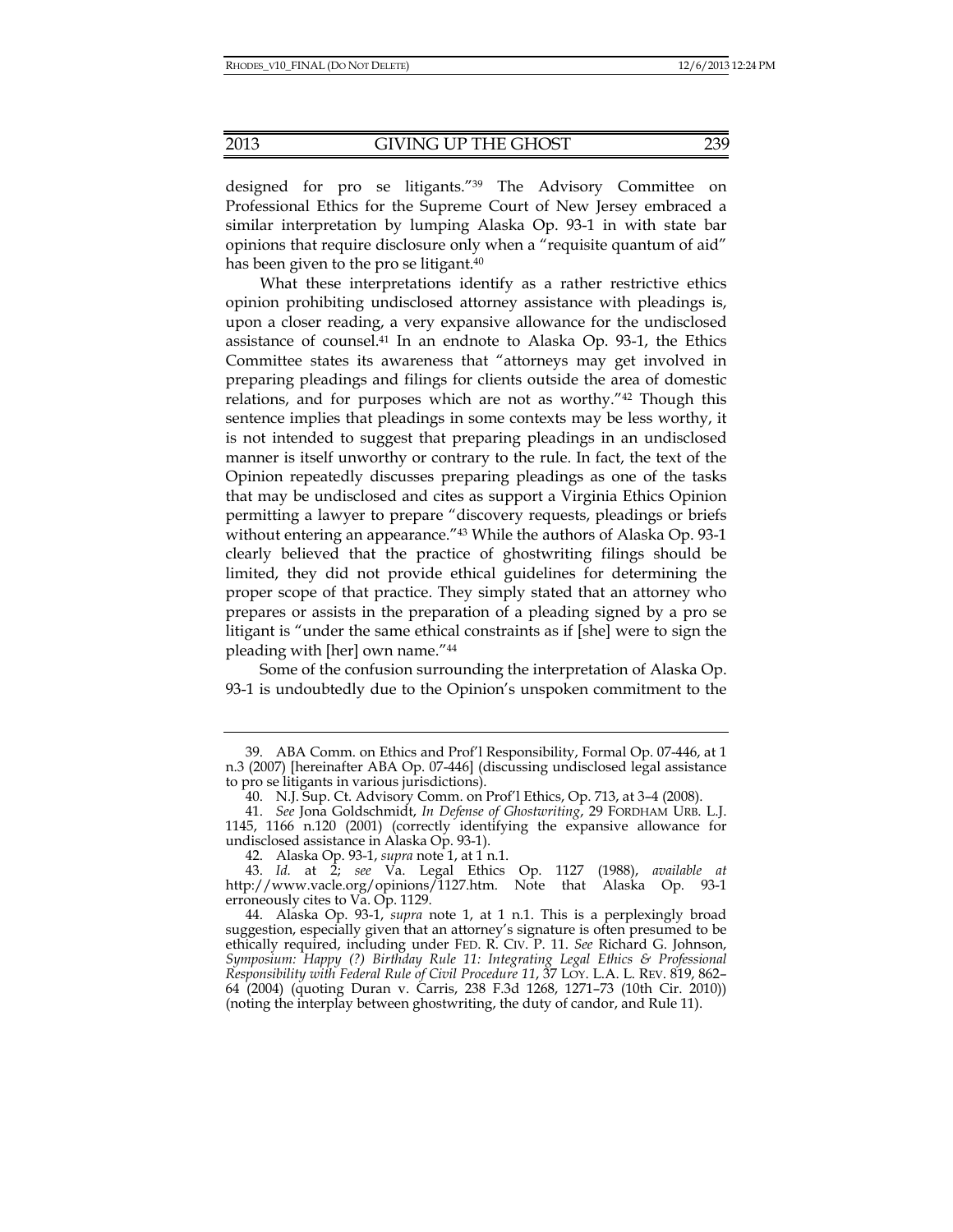designed for pro se litigants."39 The Advisory Committee on Professional Ethics for the Supreme Court of New Jersey embraced a similar interpretation by lumping Alaska Op. 93-1 in with state bar opinions that require disclosure only when a "requisite quantum of aid" has been given to the pro se litigant.<sup>40</sup>

What these interpretations identify as a rather restrictive ethics opinion prohibiting undisclosed attorney assistance with pleadings is, upon a closer reading, a very expansive allowance for the undisclosed assistance of counsel.41 In an endnote to Alaska Op. 93-1, the Ethics Committee states its awareness that "attorneys may get involved in preparing pleadings and filings for clients outside the area of domestic relations, and for purposes which are not as worthy."42 Though this sentence implies that pleadings in some contexts may be less worthy, it is not intended to suggest that preparing pleadings in an undisclosed manner is itself unworthy or contrary to the rule. In fact, the text of the Opinion repeatedly discusses preparing pleadings as one of the tasks that may be undisclosed and cites as support a Virginia Ethics Opinion permitting a lawyer to prepare "discovery requests, pleadings or briefs without entering an appearance.<sup>"43</sup> While the authors of Alaska Op. 93-1 clearly believed that the practice of ghostwriting filings should be limited, they did not provide ethical guidelines for determining the proper scope of that practice. They simply stated that an attorney who prepares or assists in the preparation of a pleading signed by a pro se litigant is "under the same ethical constraints as if [she] were to sign the pleading with [her] own name."44

Some of the confusion surrounding the interpretation of Alaska Op. 93-1 is undoubtedly due to the Opinion's unspoken commitment to the

 <sup>39.</sup> ABA Comm. on Ethics and Prof'l Responsibility, Formal Op. 07-446, at 1 n.3 (2007) [hereinafter ABA Op. 07-446] (discussing undisclosed legal assistance to pro se litigants in various jurisdictions).

 <sup>40.</sup> N.J. Sup. Ct. Advisory Comm. on Prof'l Ethics, Op. 713, at 3–4 (2008).

 <sup>41.</sup> *See* Jona Goldschmidt, *In Defense of Ghostwriting*, 29 FORDHAM URB. L.J. 1145, 1166 n.120 (2001) (correctly identifying the expansive allowance for undisclosed assistance in Alaska Op. 93-1).

 <sup>42.</sup> Alaska Op. 93-1, *supra* note 1, at 1 n.1.

 <sup>43.</sup> *Id.* at 2; *see* Va. Legal Ethics Op. 1127 (1988), *available at*  http://www.vacle.org/opinions/1127.htm. Note that Alaska Op. 93-1 erroneously cites to Va. Op. 1129.

 <sup>44.</sup> Alaska Op. 93-1, *supra* note 1, at 1 n.1. This is a perplexingly broad suggestion, especially given that an attorney's signature is often presumed to be ethically required, including under FED. R. CIV. P. 11. *See* Richard G. Johnson, *Symposium: Happy (?) Birthday Rule 11: Integrating Legal Ethics & Professional Responsibility with Federal Rule of Civil Procedure 11*, 37 LOY. L.A. L. REV. 819, 862– 64 (2004) (quoting Duran v. Carris, 238 F.3d 1268, 1271–73 (10th Cir. 2010)) (noting the interplay between ghostwriting, the duty of candor, and Rule 11).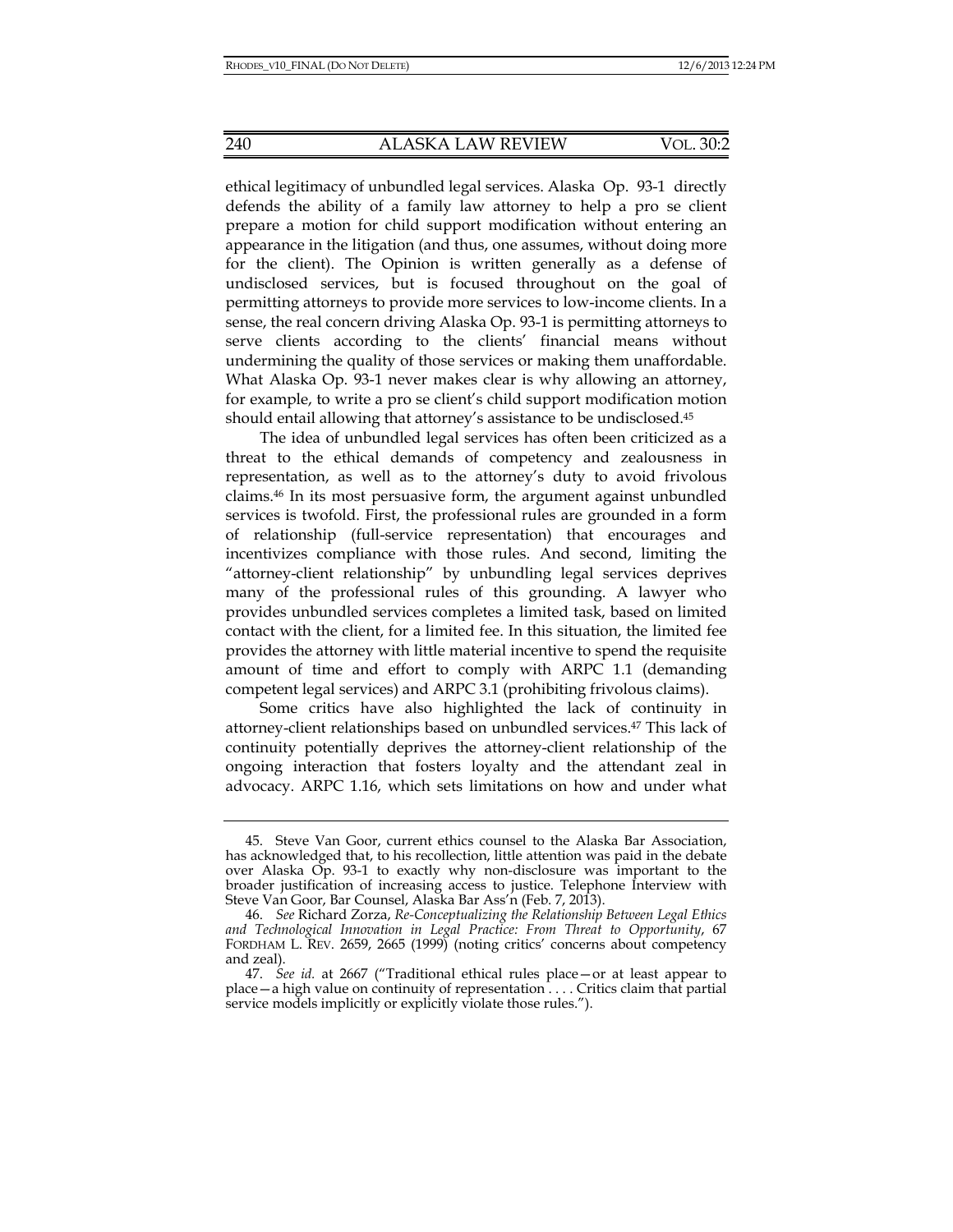ethical legitimacy of unbundled legal services. Alaska Op. 93-1 directly defends the ability of a family law attorney to help a pro se client prepare a motion for child support modification without entering an appearance in the litigation (and thus, one assumes, without doing more for the client). The Opinion is written generally as a defense of undisclosed services, but is focused throughout on the goal of permitting attorneys to provide more services to low-income clients. In a sense, the real concern driving Alaska Op. 93-1 is permitting attorneys to serve clients according to the clients' financial means without undermining the quality of those services or making them unaffordable. What Alaska Op. 93-1 never makes clear is why allowing an attorney, for example, to write a pro se client's child support modification motion should entail allowing that attorney's assistance to be undisclosed.<sup>45</sup>

The idea of unbundled legal services has often been criticized as a threat to the ethical demands of competency and zealousness in representation, as well as to the attorney's duty to avoid frivolous claims.46 In its most persuasive form, the argument against unbundled services is twofold. First, the professional rules are grounded in a form of relationship (full-service representation) that encourages and incentivizes compliance with those rules. And second, limiting the "attorney-client relationship" by unbundling legal services deprives many of the professional rules of this grounding. A lawyer who provides unbundled services completes a limited task, based on limited contact with the client, for a limited fee. In this situation, the limited fee provides the attorney with little material incentive to spend the requisite amount of time and effort to comply with ARPC 1.1 (demanding competent legal services) and ARPC 3.1 (prohibiting frivolous claims).

Some critics have also highlighted the lack of continuity in attorney-client relationships based on unbundled services.47 This lack of continuity potentially deprives the attorney-client relationship of the ongoing interaction that fosters loyalty and the attendant zeal in advocacy. ARPC 1.16, which sets limitations on how and under what

 <sup>45.</sup> Steve Van Goor, current ethics counsel to the Alaska Bar Association, has acknowledged that, to his recollection, little attention was paid in the debate over Alaska Op. 93-1 to exactly why non-disclosure was important to the broader justification of increasing access to justice. Telephone Interview with Steve Van Goor, Bar Counsel, Alaska Bar Ass'n (Feb. 7, 2013).

 <sup>46.</sup> *See* Richard Zorza, *Re-Conceptualizing the Relationship Between Legal Ethics and Technological Innovation in Legal Practice: From Threat to Opportunity*, 67 FORDHAM L. REV. 2659, 2665 (1999) (noting critics' concerns about competency and zeal).

 <sup>47.</sup> *See id.* at 2667 ("Traditional ethical rules place—or at least appear to place—a high value on continuity of representation . . . . Critics claim that partial service models implicitly or explicitly violate those rules.").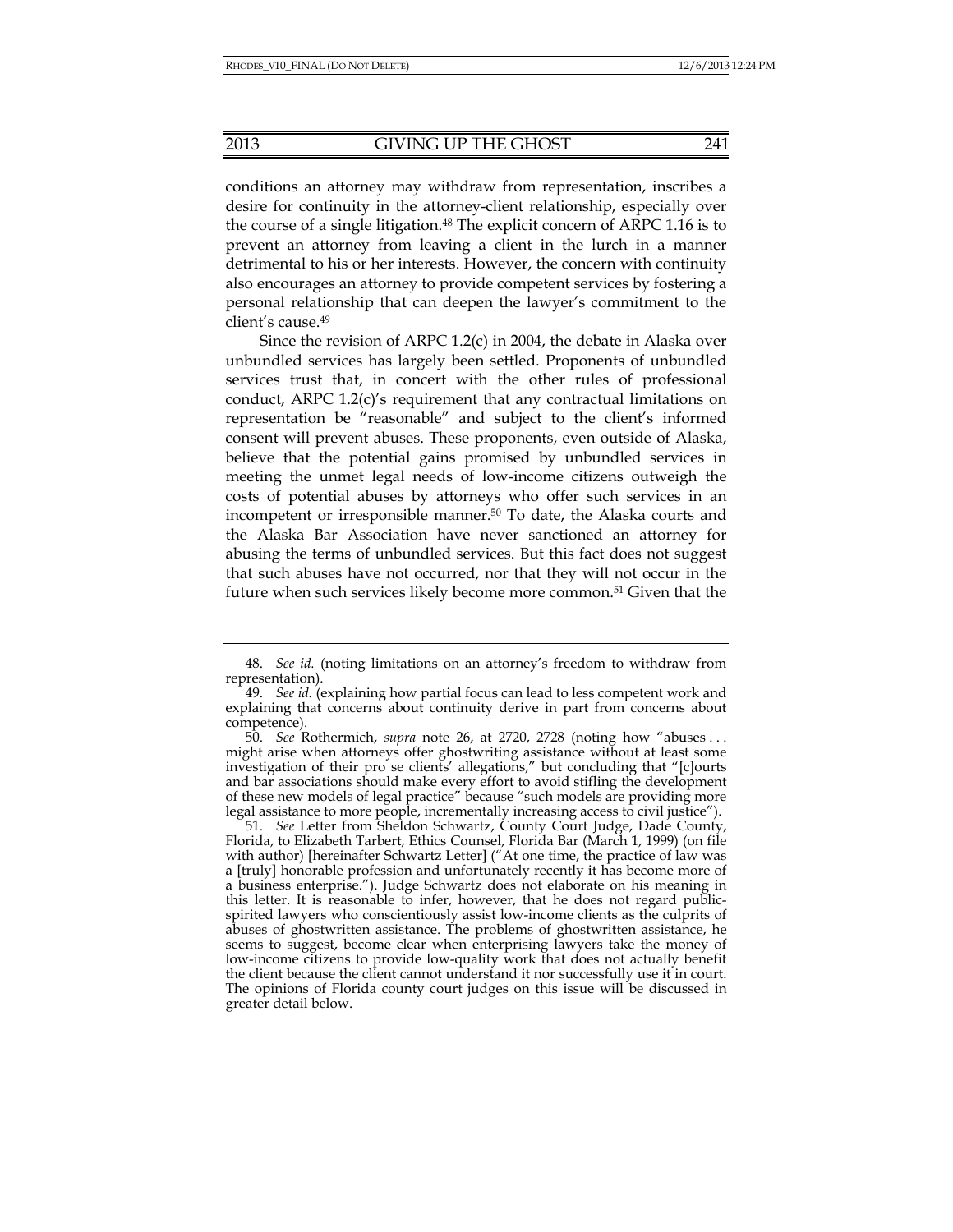conditions an attorney may withdraw from representation, inscribes a desire for continuity in the attorney-client relationship, especially over the course of a single litigation.<sup>48</sup> The explicit concern of ARPC 1.16 is to prevent an attorney from leaving a client in the lurch in a manner detrimental to his or her interests. However, the concern with continuity also encourages an attorney to provide competent services by fostering a personal relationship that can deepen the lawyer's commitment to the client's cause.49

Since the revision of ARPC 1.2(c) in 2004, the debate in Alaska over unbundled services has largely been settled. Proponents of unbundled services trust that, in concert with the other rules of professional conduct, ARPC 1.2(c)'s requirement that any contractual limitations on representation be "reasonable" and subject to the client's informed consent will prevent abuses. These proponents, even outside of Alaska, believe that the potential gains promised by unbundled services in meeting the unmet legal needs of low-income citizens outweigh the costs of potential abuses by attorneys who offer such services in an incompetent or irresponsible manner.50 To date, the Alaska courts and the Alaska Bar Association have never sanctioned an attorney for abusing the terms of unbundled services. But this fact does not suggest that such abuses have not occurred, nor that they will not occur in the future when such services likely become more common.<sup>51</sup> Given that the

 <sup>48.</sup> *See id.* (noting limitations on an attorney's freedom to withdraw from representation).

 <sup>49.</sup> *See id.* (explaining how partial focus can lead to less competent work and explaining that concerns about continuity derive in part from concerns about competence).

 <sup>50.</sup> *See* Rothermich, *supra* note 26, at 2720, 2728 (noting how "abuses . . . might arise when attorneys offer ghostwriting assistance without at least some investigation of their pro se clients' allegations," but concluding that "[c]ourts and bar associations should make every effort to avoid stifling the development of these new models of legal practice" because "such models are providing more legal assistance to more people, incrementally increasing access to civil justice").

 <sup>51.</sup> *See* Letter from Sheldon Schwartz, County Court Judge, Dade County, Florida, to Elizabeth Tarbert, Ethics Counsel, Florida Bar (March 1, 1999) (on file with author) [hereinafter Schwartz Letter] ("At one time, the practice of law was a [truly] honorable profession and unfortunately recently it has become more of a business enterprise."). Judge Schwartz does not elaborate on his meaning in this letter. It is reasonable to infer, however, that he does not regard publicspirited lawyers who conscientiously assist low-income clients as the culprits of abuses of ghostwritten assistance. The problems of ghostwritten assistance, he seems to suggest, become clear when enterprising lawyers take the money of low-income citizens to provide low-quality work that does not actually benefit the client because the client cannot understand it nor successfully use it in court. The opinions of Florida county court judges on this issue will be discussed in greater detail below.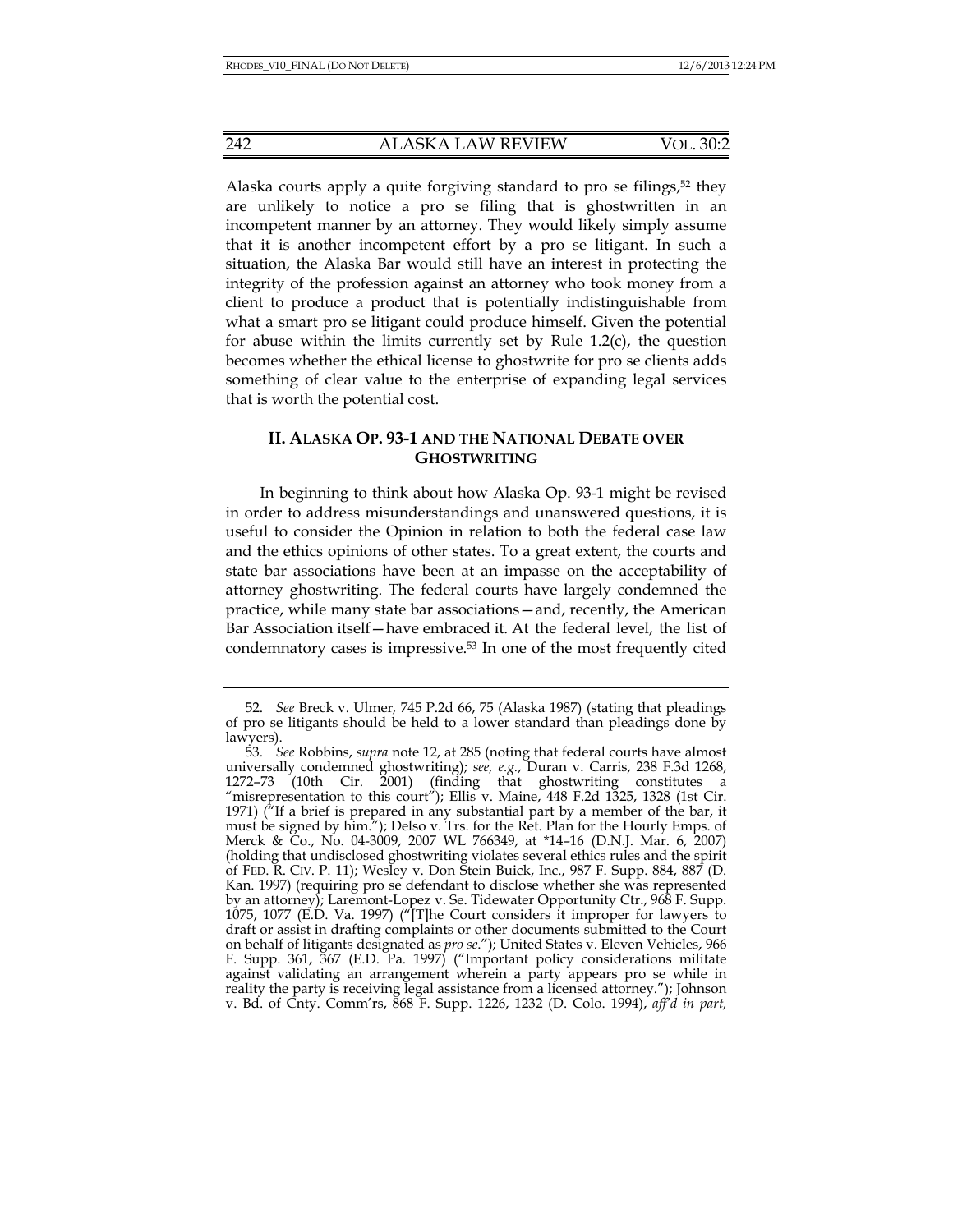Alaska courts apply a quite forgiving standard to pro se filings,<sup>52</sup> they are unlikely to notice a pro se filing that is ghostwritten in an incompetent manner by an attorney. They would likely simply assume that it is another incompetent effort by a pro se litigant. In such a situation, the Alaska Bar would still have an interest in protecting the integrity of the profession against an attorney who took money from a client to produce a product that is potentially indistinguishable from what a smart pro se litigant could produce himself. Given the potential for abuse within the limits currently set by Rule 1.2(c), the question becomes whether the ethical license to ghostwrite for pro se clients adds something of clear value to the enterprise of expanding legal services that is worth the potential cost.

## **II. ALASKA OP. 93-1 AND THE NATIONAL DEBATE OVER GHOSTWRITING**

In beginning to think about how Alaska Op. 93-1 might be revised in order to address misunderstandings and unanswered questions, it is useful to consider the Opinion in relation to both the federal case law and the ethics opinions of other states. To a great extent, the courts and state bar associations have been at an impasse on the acceptability of attorney ghostwriting. The federal courts have largely condemned the practice, while many state bar associations—and, recently, the American Bar Association itself—have embraced it. At the federal level, the list of condemnatory cases is impressive.53 In one of the most frequently cited

 <sup>52.</sup> *See* Breck v. Ulmer*,* 745 P.2d 66, 75 (Alaska 1987) (stating that pleadings of pro se litigants should be held to a lower standard than pleadings done by lawyers).

 <sup>53.</sup> *See* Robbins, *supra* note 12, at 285 (noting that federal courts have almost universally condemned ghostwriting); *see, e.g.*, Duran v. Carris, 238 F.3d 1268, 1272–73 (10th Cir. 2001) (finding that ghostwriting constitutes a "misrepresentation to this court"); Ellis v. Maine, 448 F.2d 1325, 1328 (1st Cir. 1971) ("If a brief is prepared in any substantial part by a member of the bar, it must be signed by him."); Delso v. Trs. for the Ret. Plan for the Hourly Emps. of Merck & Co., No. 04-3009, 2007 WL 766349, at \*14–16 (D.N.J. Mar. 6, 2007) (holding that undisclosed ghostwriting violates several ethics rules and the spirit of FED. R. CIV. P. 11); Wesley v. Don Stein Buick, Inc., 987 F. Supp. 884, 887 (D. Kan. 1997) (requiring pro se defendant to disclose whether she was represented by an attorney); Laremont-Lopez v. Se. Tidewater Opportunity Ctr., 968 F. Supp. 1075, 1077 (E.D. Va. 1997) ("[T]he Court considers it improper for lawyers to draft or assist in drafting complaints or other documents submitted to the Court on behalf of litigants designated as *pro se*."); United States v. Eleven Vehicles, 966 F. Supp. 361, 367 (E.D. Pa. 1997) ("Important policy considerations militate against validating an arrangement wherein a party appears pro se while in reality the party is receiving legal assistance from a licensed attorney."); Johnson v. Bd. of Cnty. Comm'rs, 868 F. Supp. 1226, 1232 (D. Colo. 1994), *aff'd in part,*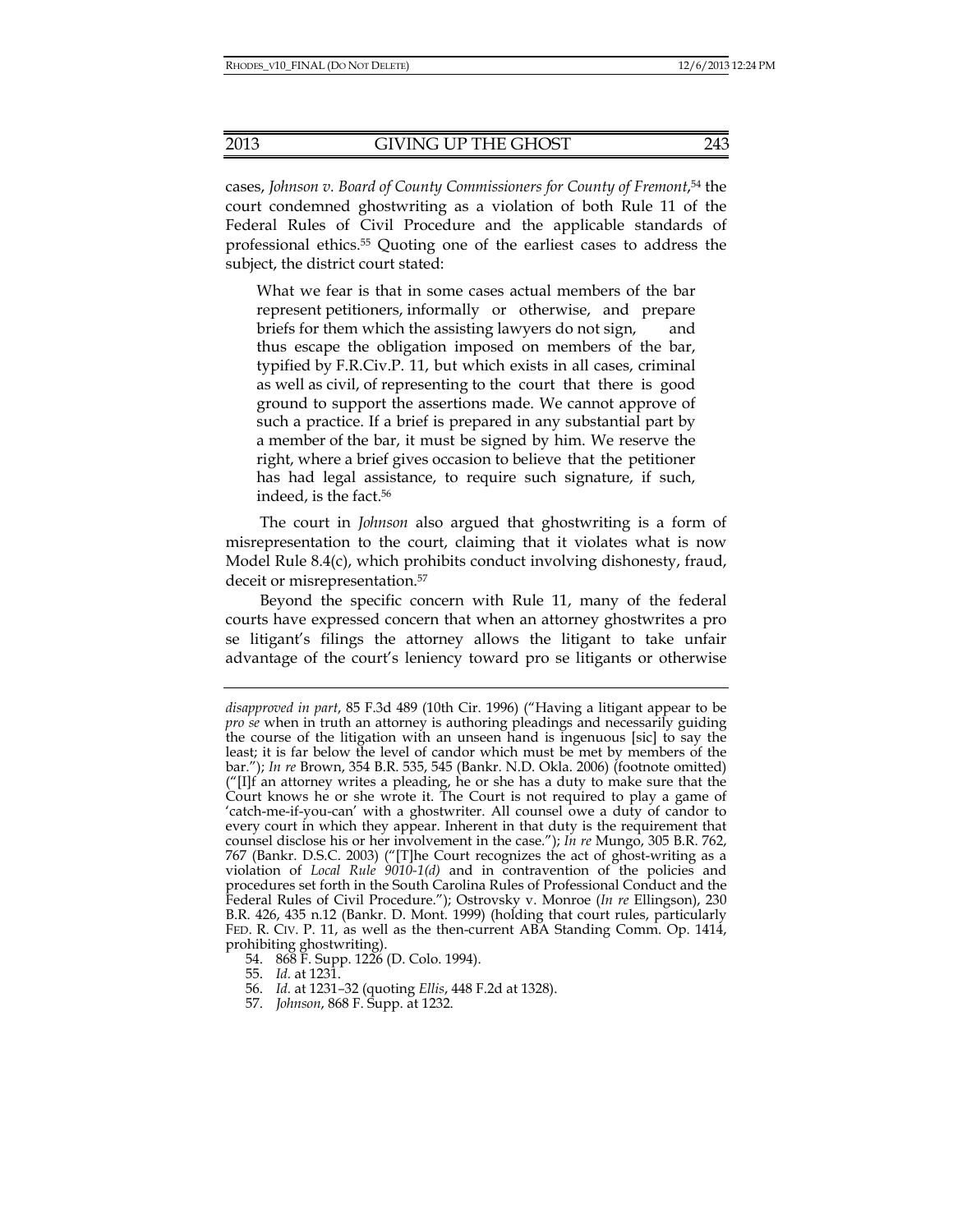cases, *Johnson v. Board of County Commissioners for County of Fremont*,54 the court condemned ghostwriting as a violation of both Rule 11 of the Federal Rules of Civil Procedure and the applicable standards of professional ethics.55 Quoting one of the earliest cases to address the subject, the district court stated:

What we fear is that in some cases actual members of the bar represent petitioners, informally or otherwise, and prepare briefs for them which the assisting lawyers do not sign, and thus escape the obligation imposed on members of the bar, typified by F.R.Civ.P. 11, but which exists in all cases, criminal as well as civil, of representing to the court that there is good ground to support the assertions made. We cannot approve of such a practice. If a brief is prepared in any substantial part by a member of the bar, it must be signed by him. We reserve the right, where a brief gives occasion to believe that the petitioner has had legal assistance, to require such signature, if such, indeed, is the fact.<sup>56</sup>

The court in *Johnson* also argued that ghostwriting is a form of misrepresentation to the court, claiming that it violates what is now Model Rule 8.4(c), which prohibits conduct involving dishonesty, fraud, deceit or misrepresentation.<sup>57</sup>

Beyond the specific concern with Rule 11, many of the federal courts have expressed concern that when an attorney ghostwrites a pro se litigant's filings the attorney allows the litigant to take unfair advantage of the court's leniency toward pro se litigants or otherwise

54. 868 F. Supp. 1226 (D. Colo. 1994).

- 56. *Id.* at 1231*–*32 (quoting *Ellis*, 448 F.2d at 1328).
- 57. *Johnson*, 868 F. Supp. at 1232.

*disapproved in part*, 85 F.3d 489 (10th Cir. 1996) ("Having a litigant appear to be *pro se* when in truth an attorney is authoring pleadings and necessarily guiding the course of the litigation with an unseen hand is ingenuous [sic] to say the least; it is far below the level of candor which must be met by members of the bar."); *In re* Brown, 354 B.R. 535, 545 (Bankr. N.D. Okla. 2006) (footnote omitted) ("[I]f an attorney writes a pleading, he or she has a duty to make sure that the Court knows he or she wrote it. The Court is not required to play a game of 'catch-me-if-you-can' with a ghostwriter. All counsel owe a duty of candor to every court in which they appear. Inherent in that duty is the requirement that counsel disclose his or her involvement in the case."); *In re* Mungo, 305 B.R. 762, 767 (Bankr. D.S.C. 2003) ("[T]he Court recognizes the act of ghost-writing as a violation of *Local Rule 9010-1(d)* and in contravention of the policies and procedures set forth in the South Carolina Rules of Professional Conduct and the Federal Rules of Civil Procedure."); Ostrovsky v. Monroe (*In re* Ellingson), 230 B.R. 426, 435 n.12 (Bankr. D. Mont. 1999) (holding that court rules, particularly FED. R. CIV. P. 11, as well as the then-current ABA Standing Comm. Op. 1414, prohibiting ghostwriting).

 <sup>55.</sup> *Id.* at 1231.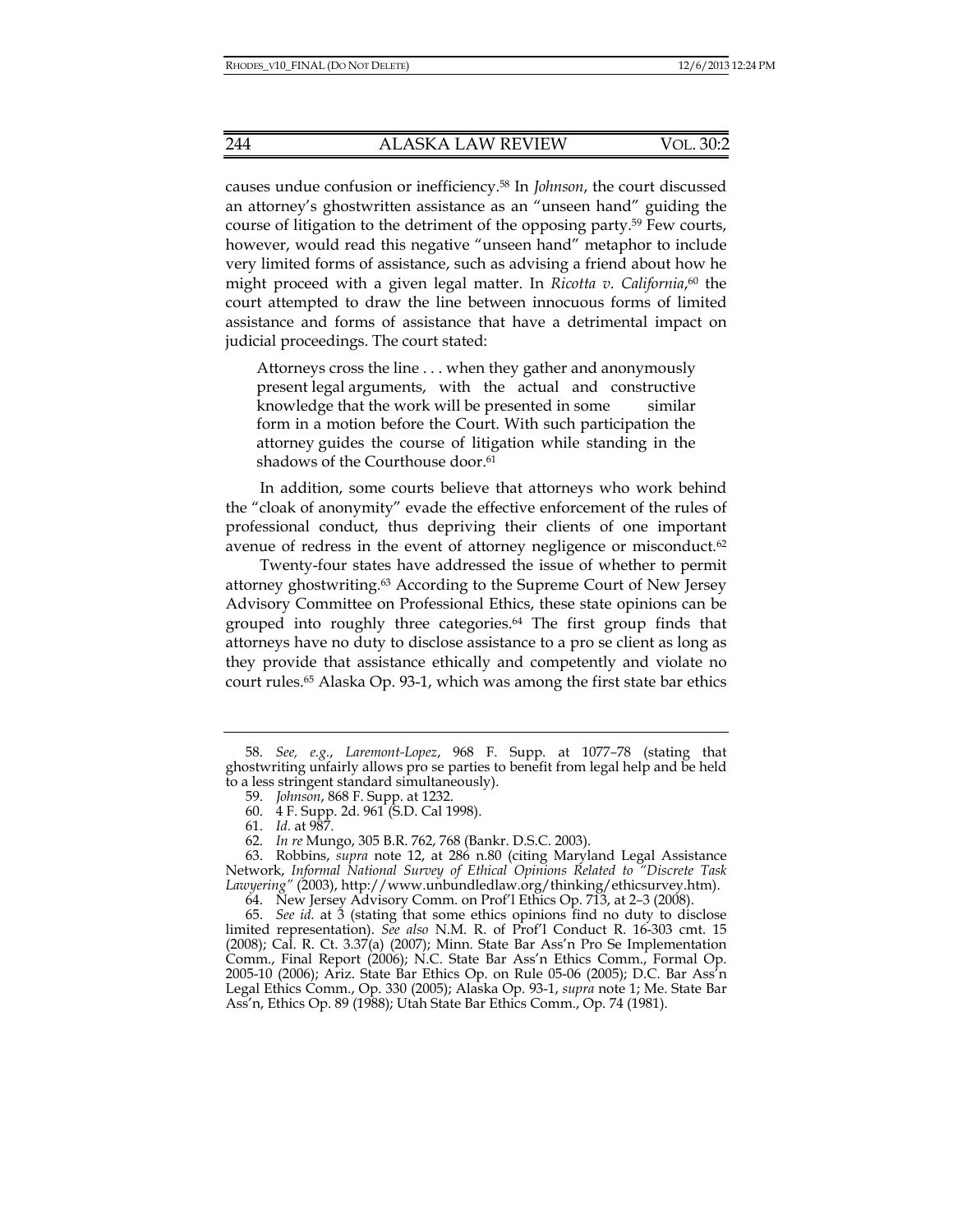causes undue confusion or inefficiency.58 In *Johnson*, the court discussed an attorney's ghostwritten assistance as an "unseen hand" guiding the course of litigation to the detriment of the opposing party.59 Few courts, however, would read this negative "unseen hand" metaphor to include very limited forms of assistance, such as advising a friend about how he might proceed with a given legal matter. In *Ricotta v. California*, 60 the court attempted to draw the line between innocuous forms of limited assistance and forms of assistance that have a detrimental impact on judicial proceedings. The court stated:

Attorneys cross the line . . . when they gather and anonymously present legal arguments, with the actual and constructive knowledge that the work will be presented in some similar form in a motion before the Court. With such participation the attorney guides the course of litigation while standing in the shadows of the Courthouse door.<sup>61</sup>

In addition, some courts believe that attorneys who work behind the "cloak of anonymity" evade the effective enforcement of the rules of professional conduct, thus depriving their clients of one important avenue of redress in the event of attorney negligence or misconduct.62

 Twenty-four states have addressed the issue of whether to permit attorney ghostwriting.63 According to the Supreme Court of New Jersey Advisory Committee on Professional Ethics, these state opinions can be grouped into roughly three categories.64 The first group finds that attorneys have no duty to disclose assistance to a pro se client as long as they provide that assistance ethically and competently and violate no court rules.65 Alaska Op. 93-1, which was among the first state bar ethics

 <sup>58.</sup> *See, e.g.*, *Laremont-Lopez*, 968 F. Supp. at 1077*–*78 (stating that ghostwriting unfairly allows pro se parties to benefit from legal help and be held to a less stringent standard simultaneously).

 <sup>59.</sup> *Johnson*, 868 F. Supp. at 1232.

 <sup>60. 4</sup> F. Supp. 2d. 961 (S.D. Cal 1998).

 <sup>61.</sup> *Id.* at 987.

 <sup>62.</sup> *In re* Mungo, 305 B.R. 762, 768 (Bankr. D.S.C. 2003).

 <sup>63.</sup> Robbins, *supra* note 12, at 286 n.80 (citing Maryland Legal Assistance Network, *Informal National Survey of Ethical Opinions Related to "Discrete Task Lawyering"* (2003), http://www.unbundledlaw.org/thinking/ethicsurvey.htm).

 <sup>64.</sup> New Jersey Advisory Comm. on Prof'l Ethics Op. 713, at 2*–*3 (2008).

 <sup>65.</sup> *See id.* at 3 (stating that some ethics opinions find no duty to disclose limited representation). *See also* N.M. R. of Prof'l Conduct R. 16-303 cmt. 15 (2008); Cal. R. Ct. 3.37(a) (2007); Minn. State Bar Ass'n Pro Se Implementation Comm., Final Report (2006); N.C. State Bar Ass'n Ethics Comm., Formal Op. 2005-10 (2006); Ariz. State Bar Ethics Op. on Rule 05-06 (2005); D.C. Bar Ass'n Legal Ethics Comm., Op. 330 (2005); Alaska Op. 93-1, *supra* note 1; Me. State Bar Ass'n, Ethics Op. 89 (1988); Utah State Bar Ethics Comm., Op. 74 (1981).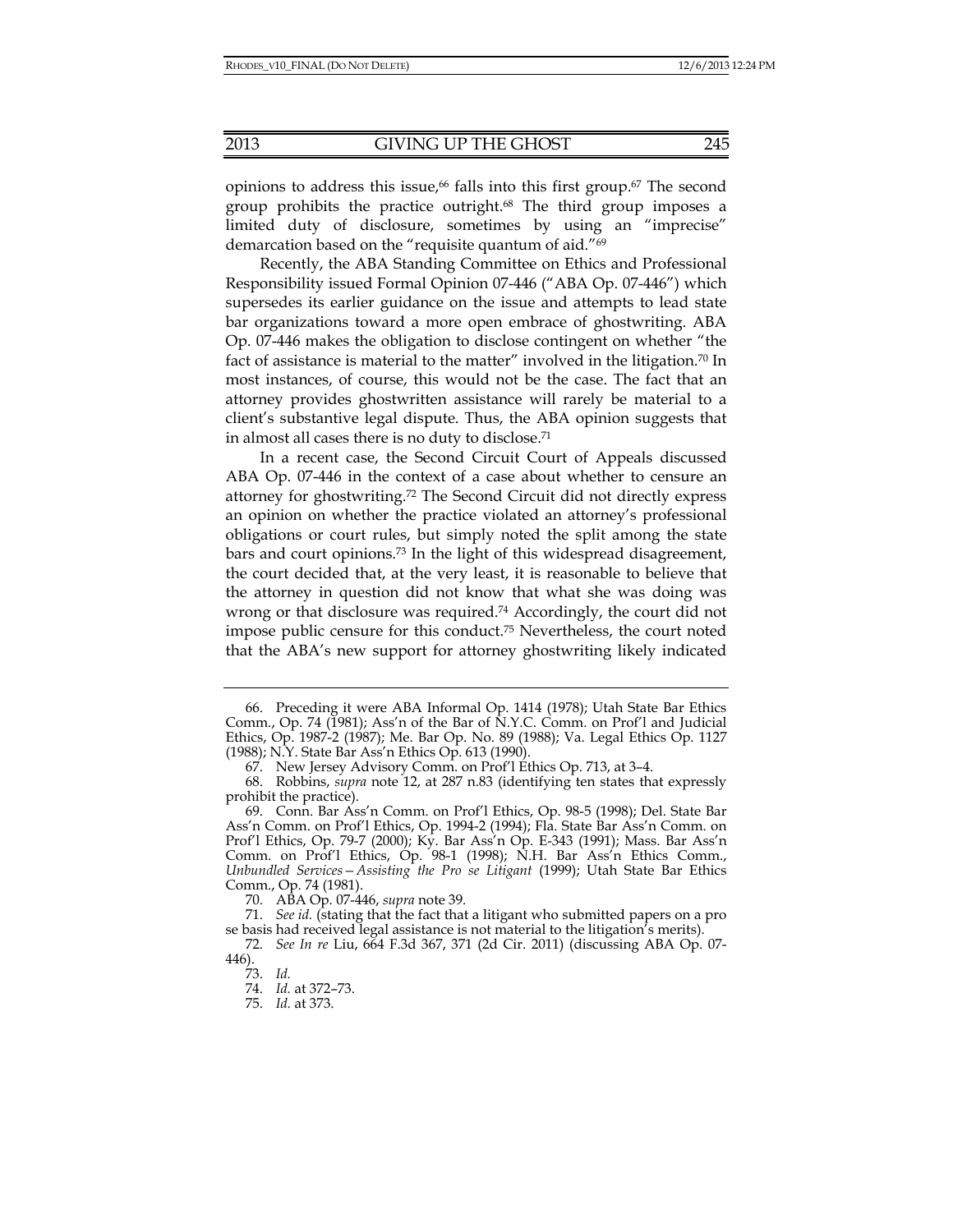opinions to address this issue,<sup>66</sup> falls into this first group.<sup>67</sup> The second

group prohibits the practice outright.68 The third group imposes a limited duty of disclosure, sometimes by using an "imprecise" demarcation based on the "requisite quantum of aid."69

Recently, the ABA Standing Committee on Ethics and Professional Responsibility issued Formal Opinion 07-446 ("ABA Op. 07-446") which supersedes its earlier guidance on the issue and attempts to lead state bar organizations toward a more open embrace of ghostwriting. ABA Op. 07-446 makes the obligation to disclose contingent on whether "the fact of assistance is material to the matter" involved in the litigation.70 In most instances, of course, this would not be the case. The fact that an attorney provides ghostwritten assistance will rarely be material to a client's substantive legal dispute. Thus, the ABA opinion suggests that in almost all cases there is no duty to disclose.71

In a recent case, the Second Circuit Court of Appeals discussed ABA Op. 07-446 in the context of a case about whether to censure an attorney for ghostwriting.72 The Second Circuit did not directly express an opinion on whether the practice violated an attorney's professional obligations or court rules, but simply noted the split among the state bars and court opinions.73 In the light of this widespread disagreement, the court decided that, at the very least, it is reasonable to believe that the attorney in question did not know that what she was doing was wrong or that disclosure was required.74 Accordingly, the court did not impose public censure for this conduct.75 Nevertheless, the court noted that the ABA's new support for attorney ghostwriting likely indicated

 <sup>66.</sup> Preceding it were ABA Informal Op. 1414 (1978); Utah State Bar Ethics Comm., Op. 74 (1981); Ass'n of the Bar of N.Y.C. Comm. on Prof'l and Judicial Ethics, Op. 1987-2 (1987); Me. Bar Op. No. 89 (1988); Va. Legal Ethics Op. 1127 (1988); N.Y. State Bar Ass'n Ethics Op. 613 (1990).

 <sup>67.</sup> New Jersey Advisory Comm. on Prof'l Ethics Op. 713, at 3–4.

 <sup>68.</sup> Robbins, *supra* note 12, at 287 n.83 (identifying ten states that expressly prohibit the practice).

 <sup>69.</sup> Conn. Bar Ass'n Comm. on Prof'l Ethics, Op. 98-5 (1998); Del. State Bar Ass'n Comm. on Prof'l Ethics, Op. 1994-2 (1994); Fla. State Bar Ass'n Comm. on Prof'l Ethics, Op. 79-7 (2000); Ky. Bar Ass'n Op. E-343 (1991); Mass. Bar Ass'n Comm. on Prof'l Ethics, Op. 98-1 (1998); N.H. Bar Ass'n Ethics Comm., *Unbundled Services—Assisting the Pro se Litigant* (1999); Utah State Bar Ethics Comm., Op. 74 (1981).

 <sup>70.</sup> ABA Op. 07-446, *supra* note 39.

 <sup>71.</sup> *See id.* (stating that the fact that a litigant who submitted papers on a pro se basis had received legal assistance is not material to the litigation's merits).

 <sup>72.</sup> *See In re* Liu, 664 F.3d 367, 371 (2d Cir. 2011) (discussing ABA Op. 07- 446).

 <sup>73.</sup> *Id.*

 <sup>74.</sup> *Id.* at 372–73.

 <sup>75.</sup> *Id.* at 373.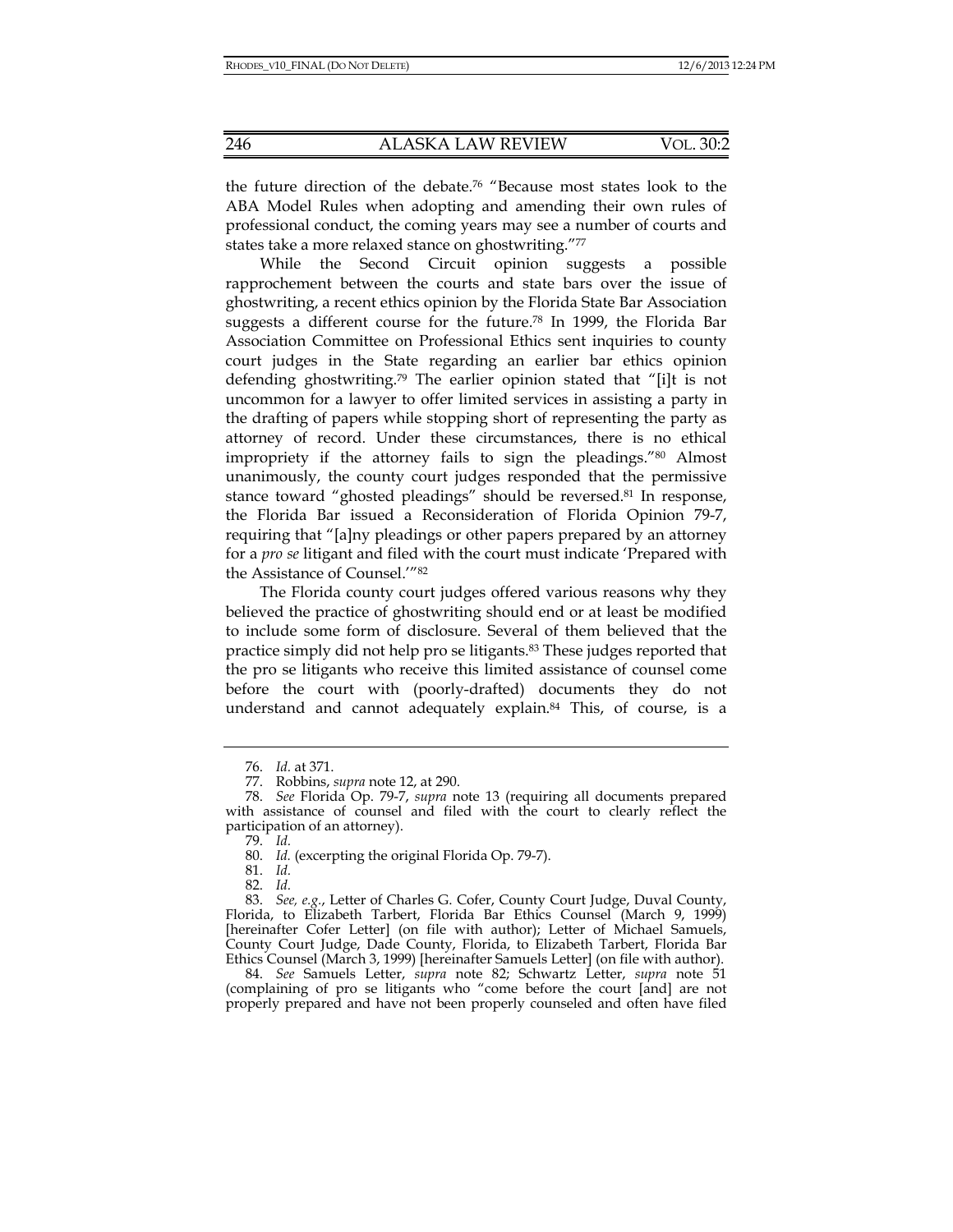the future direction of the debate.76 "Because most states look to the ABA Model Rules when adopting and amending their own rules of professional conduct, the coming years may see a number of courts and states take a more relaxed stance on ghostwriting."77

While the Second Circuit opinion suggests a possible rapprochement between the courts and state bars over the issue of ghostwriting, a recent ethics opinion by the Florida State Bar Association suggests a different course for the future.78 In 1999, the Florida Bar Association Committee on Professional Ethics sent inquiries to county court judges in the State regarding an earlier bar ethics opinion defending ghostwriting.79 The earlier opinion stated that "[i]t is not uncommon for a lawyer to offer limited services in assisting a party in the drafting of papers while stopping short of representing the party as attorney of record. Under these circumstances, there is no ethical impropriety if the attorney fails to sign the pleadings."80 Almost unanimously, the county court judges responded that the permissive stance toward "ghosted pleadings" should be reversed.<sup>81</sup> In response, the Florida Bar issued a Reconsideration of Florida Opinion 79-7, requiring that "[a]ny pleadings or other papers prepared by an attorney for a *pro se* litigant and filed with the court must indicate 'Prepared with the Assistance of Counsel.'"82

The Florida county court judges offered various reasons why they believed the practice of ghostwriting should end or at least be modified to include some form of disclosure. Several of them believed that the practice simply did not help pro se litigants.83 These judges reported that the pro se litigants who receive this limited assistance of counsel come before the court with (poorly-drafted) documents they do not understand and cannot adequately explain.84 This, of course, is a

81. *Id.*

82. *Id.*

 83. *See, e.g.*, Letter of Charles G. Cofer, County Court Judge, Duval County, Florida, to Elizabeth Tarbert, Florida Bar Ethics Counsel (March 9, 1999) [hereinafter Cofer Letter] (on file with author); Letter of Michael Samuels, County Court Judge, Dade County, Florida, to Elizabeth Tarbert, Florida Bar Ethics Counsel (March 3, 1999) [hereinafter Samuels Letter] (on file with author).

 84. *See* Samuels Letter, *supra* note 82; Schwartz Letter, *supra* note 51 (complaining of pro se litigants who "come before the court [and] are not properly prepared and have not been properly counseled and often have filed

 <sup>76.</sup> *Id.* at 371.

 <sup>77.</sup> Robbins, *supra* note 12, at 290.

 <sup>78.</sup> *See* Florida Op. 79-7, *supra* note 13 (requiring all documents prepared with assistance of counsel and filed with the court to clearly reflect the participation of an attorney).

 <sup>79.</sup> *Id.*

 <sup>80.</sup> *Id.* (excerpting the original Florida Op. 79-7).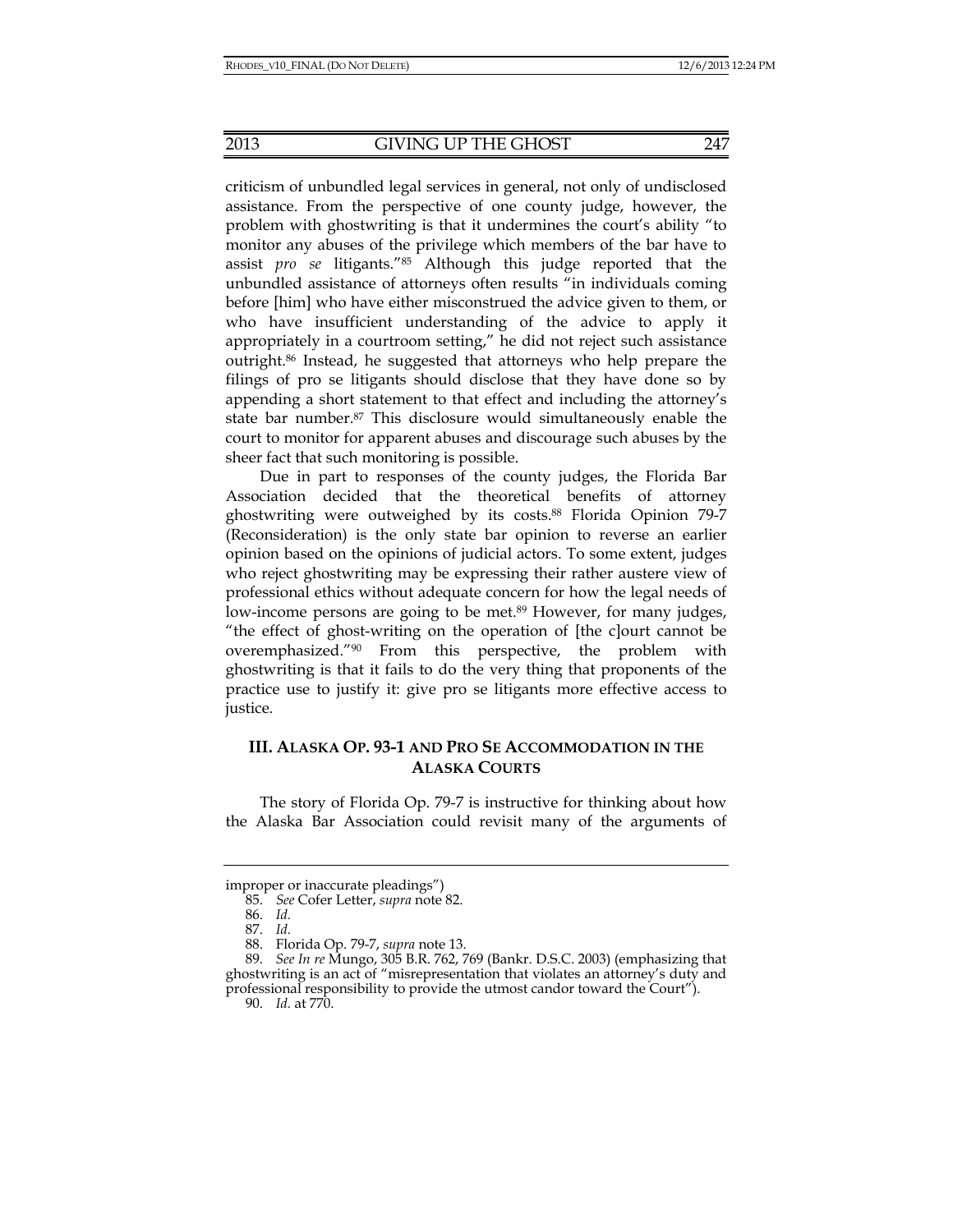criticism of unbundled legal services in general, not only of undisclosed assistance. From the perspective of one county judge, however, the problem with ghostwriting is that it undermines the court's ability "to monitor any abuses of the privilege which members of the bar have to assist *pro se* litigants."85 Although this judge reported that the unbundled assistance of attorneys often results "in individuals coming before [him] who have either misconstrued the advice given to them, or who have insufficient understanding of the advice to apply it appropriately in a courtroom setting," he did not reject such assistance outright.86 Instead, he suggested that attorneys who help prepare the filings of pro se litigants should disclose that they have done so by appending a short statement to that effect and including the attorney's state bar number.87 This disclosure would simultaneously enable the court to monitor for apparent abuses and discourage such abuses by the sheer fact that such monitoring is possible.

Due in part to responses of the county judges, the Florida Bar Association decided that the theoretical benefits of attorney ghostwriting were outweighed by its costs.88 Florida Opinion 79-7 (Reconsideration) is the only state bar opinion to reverse an earlier opinion based on the opinions of judicial actors. To some extent, judges who reject ghostwriting may be expressing their rather austere view of professional ethics without adequate concern for how the legal needs of low-income persons are going to be met.<sup>89</sup> However, for many judges, "the effect of ghost-writing on the operation of [the c]ourt cannot be overemphasized."90 From this perspective, the problem with ghostwriting is that it fails to do the very thing that proponents of the practice use to justify it: give pro se litigants more effective access to justice.

## **III. ALASKA OP. 93-1 AND PRO SE ACCOMMODATION IN THE ALASKA COURTS**

The story of Florida Op. 79-7 is instructive for thinking about how the Alaska Bar Association could revisit many of the arguments of

improper or inaccurate pleadings")

 <sup>85.</sup> *See* Cofer Letter, *supra* note 82.

 <sup>86.</sup> *Id.*

 <sup>87.</sup> *Id.*

 <sup>88.</sup> Florida Op. 79-7, *supra* note 13.

 <sup>89.</sup> *See In re* Mungo, 305 B.R. 762, 769 (Bankr. D.S.C. 2003) (emphasizing that ghostwriting is an act of "misrepresentation that violates an attorney's duty and professional responsibility to provide the utmost candor toward the Court").

 <sup>90.</sup> *Id.* at 770.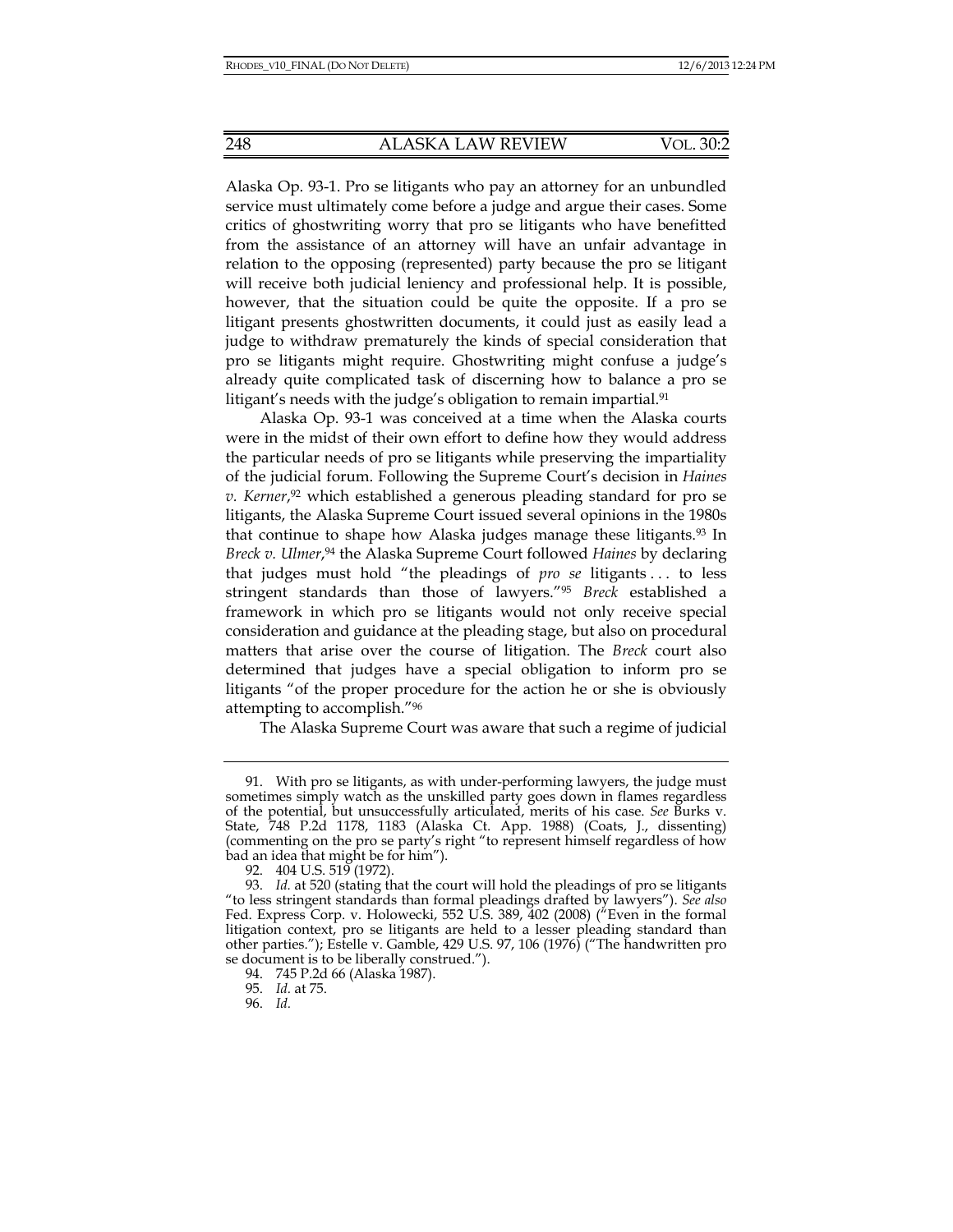Alaska Op. 93-1. Pro se litigants who pay an attorney for an unbundled service must ultimately come before a judge and argue their cases. Some critics of ghostwriting worry that pro se litigants who have benefitted from the assistance of an attorney will have an unfair advantage in relation to the opposing (represented) party because the pro se litigant will receive both judicial leniency and professional help. It is possible, however, that the situation could be quite the opposite. If a pro se litigant presents ghostwritten documents, it could just as easily lead a judge to withdraw prematurely the kinds of special consideration that pro se litigants might require. Ghostwriting might confuse a judge's already quite complicated task of discerning how to balance a pro se litigant's needs with the judge's obligation to remain impartial.<sup>91</sup>

Alaska Op. 93-1 was conceived at a time when the Alaska courts were in the midst of their own effort to define how they would address the particular needs of pro se litigants while preserving the impartiality of the judicial forum. Following the Supreme Court's decision in *Haines v. Kerner*, 92 which established a generous pleading standard for pro se litigants, the Alaska Supreme Court issued several opinions in the 1980s that continue to shape how Alaska judges manage these litigants.93 In *Breck v. Ulmer*,94 the Alaska Supreme Court followed *Haines* by declaring that judges must hold "the pleadings of *pro se* litigants . . . to less stringent standards than those of lawyers."95 *Breck* established a framework in which pro se litigants would not only receive special consideration and guidance at the pleading stage, but also on procedural matters that arise over the course of litigation. The *Breck* court also determined that judges have a special obligation to inform pro se litigants "of the proper procedure for the action he or she is obviously attempting to accomplish."96

The Alaska Supreme Court was aware that such a regime of judicial

 <sup>91.</sup> With pro se litigants, as with under-performing lawyers, the judge must sometimes simply watch as the unskilled party goes down in flames regardless of the potential, but unsuccessfully articulated, merits of his case. *See* Burks v. State, 748 P.2d 1178, 1183 (Alaska Ct. App. 1988) (Coats, J., dissenting) (commenting on the pro se party's right "to represent himself regardless of how bad an idea that might be for him").

 <sup>92. 404</sup> U.S. 519 (1972).

 <sup>93.</sup> *Id.* at 520 (stating that the court will hold the pleadings of pro se litigants "to less stringent standards than formal pleadings drafted by lawyers"). *See also* Fed. Express Corp. v. Holowecki, 552 U.S. 389, 402 (2008) ("Even in the formal litigation context, pro se litigants are held to a lesser pleading standard than other parties."); Estelle v. Gamble, 429 U.S. 97, 106 (1976) ("The handwritten pro se document is to be liberally construed.").

 <sup>94. 745</sup> P.2d 66 (Alaska 1987).

 <sup>95.</sup> *Id.* at 75.

 <sup>96.</sup> *Id.*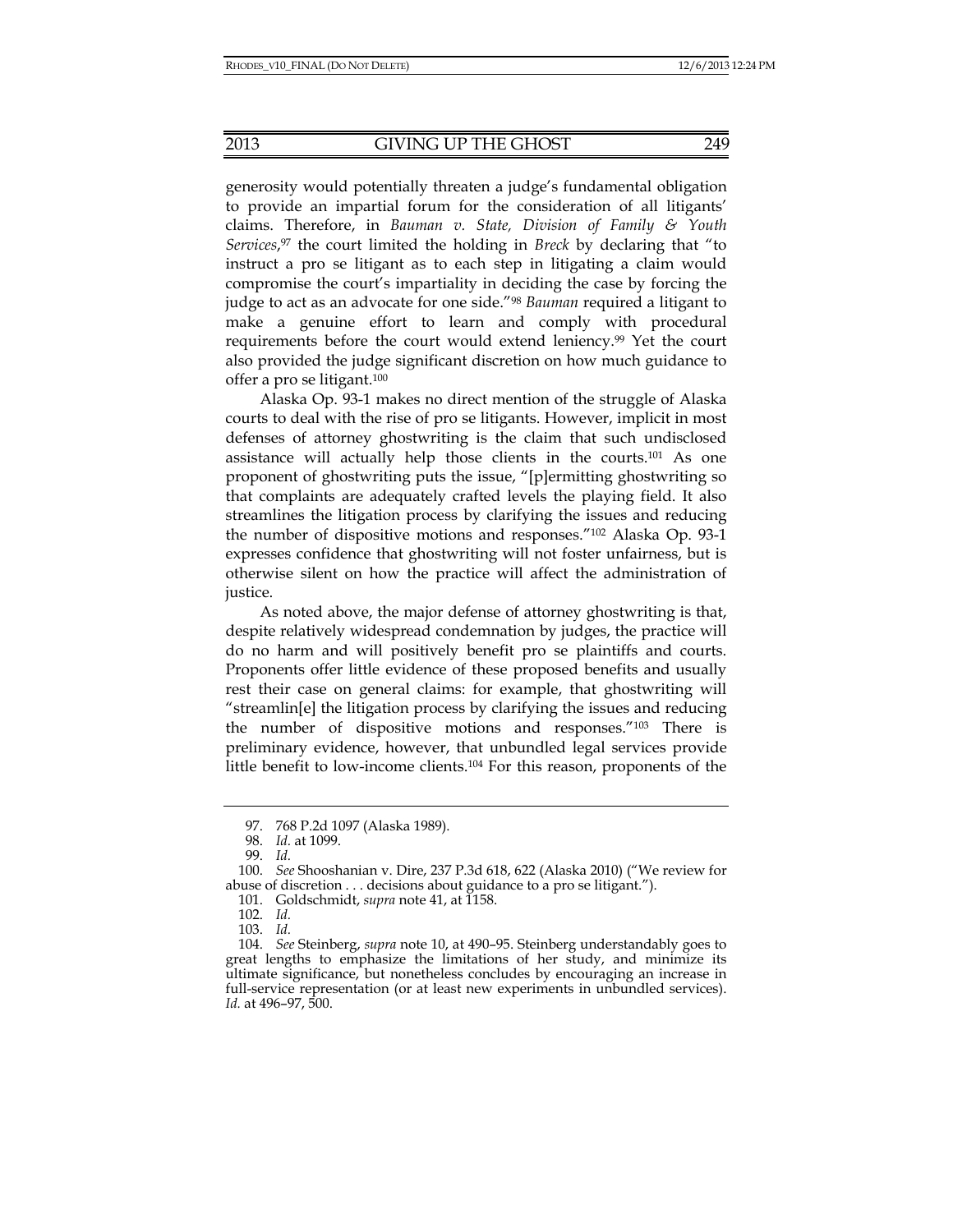generosity would potentially threaten a judge's fundamental obligation to provide an impartial forum for the consideration of all litigants' claims. Therefore, in *Bauman v. State, Division of Family & Youth Services*, 97 the court limited the holding in *Breck* by declaring that "to instruct a pro se litigant as to each step in litigating a claim would compromise the court's impartiality in deciding the case by forcing the judge to act as an advocate for one side."98 *Bauman* required a litigant to make a genuine effort to learn and comply with procedural requirements before the court would extend leniency.<sup>99</sup> Yet the court also provided the judge significant discretion on how much guidance to offer a pro se litigant.100

Alaska Op. 93-1 makes no direct mention of the struggle of Alaska courts to deal with the rise of pro se litigants. However, implicit in most defenses of attorney ghostwriting is the claim that such undisclosed assistance will actually help those clients in the courts.101 As one proponent of ghostwriting puts the issue, "[p]ermitting ghostwriting so that complaints are adequately crafted levels the playing field. It also streamlines the litigation process by clarifying the issues and reducing the number of dispositive motions and responses."102 Alaska Op. 93-1 expresses confidence that ghostwriting will not foster unfairness, but is otherwise silent on how the practice will affect the administration of justice.

As noted above, the major defense of attorney ghostwriting is that, despite relatively widespread condemnation by judges, the practice will do no harm and will positively benefit pro se plaintiffs and courts. Proponents offer little evidence of these proposed benefits and usually rest their case on general claims: for example, that ghostwriting will "streamlin[e] the litigation process by clarifying the issues and reducing the number of dispositive motions and responses."103 There is preliminary evidence, however, that unbundled legal services provide little benefit to low-income clients.104 For this reason, proponents of the

 <sup>97. 768</sup> P.2d 1097 (Alaska 1989).

 <sup>98.</sup> *Id.* at 1099.

 <sup>99.</sup> *Id.*

 <sup>100.</sup> *See* Shooshanian v. Dire, 237 P.3d 618, 622 (Alaska 2010) ("We review for abuse of discretion . . . decisions about guidance to a pro se litigant.").

 <sup>101.</sup> Goldschmidt, *supra* note 41, at 1158.

 <sup>102.</sup> *Id.*

 <sup>103.</sup> *Id.*

 <sup>104.</sup> *See* Steinberg, *supra* note 10, at 490–95. Steinberg understandably goes to great lengths to emphasize the limitations of her study, and minimize its ultimate significance, but nonetheless concludes by encouraging an increase in full-service representation (or at least new experiments in unbundled services). *Id.* at 496–97, 500.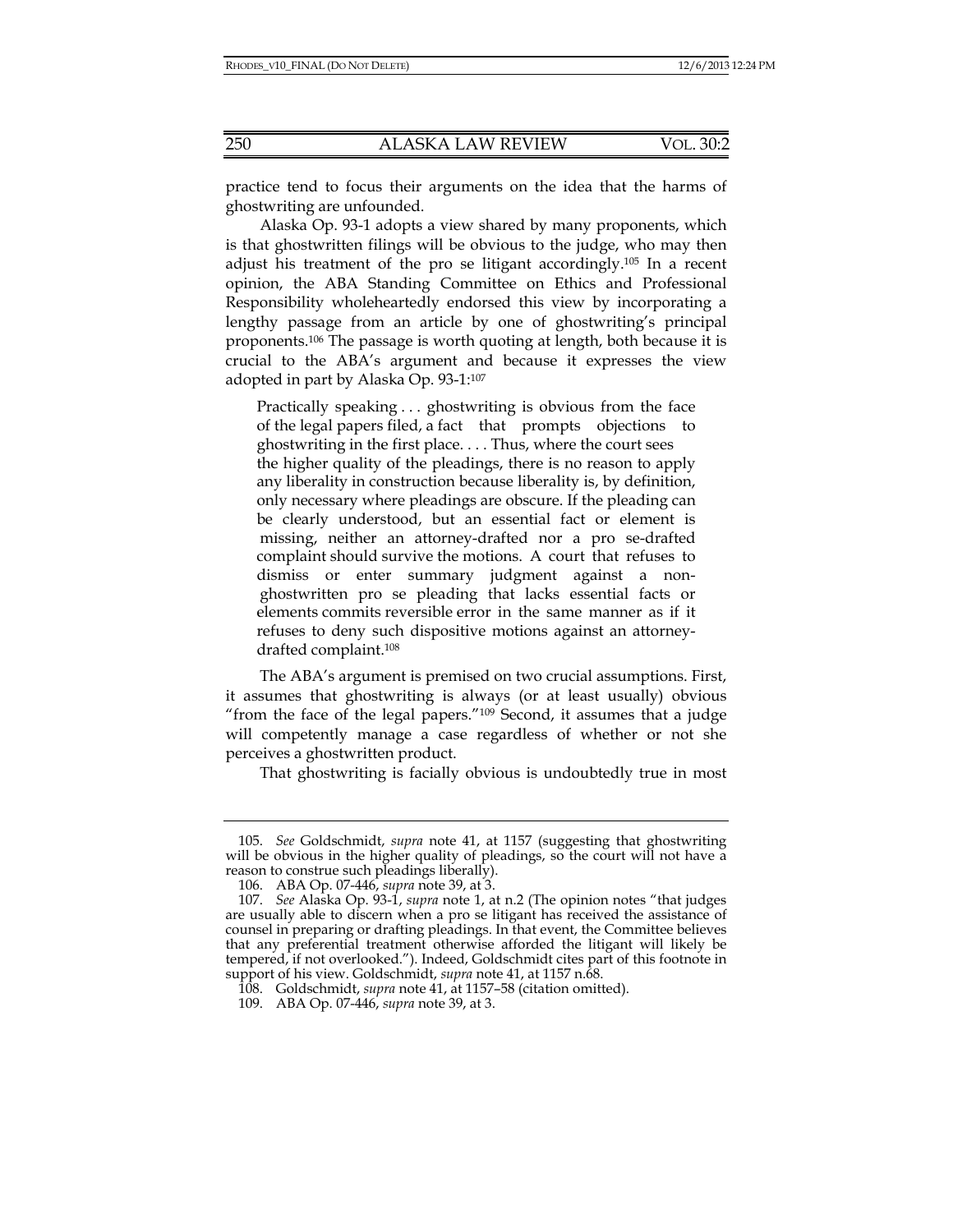practice tend to focus their arguments on the idea that the harms of ghostwriting are unfounded.

Alaska Op. 93-1 adopts a view shared by many proponents, which is that ghostwritten filings will be obvious to the judge, who may then adjust his treatment of the pro se litigant accordingly.105 In a recent opinion, the ABA Standing Committee on Ethics and Professional Responsibility wholeheartedly endorsed this view by incorporating a lengthy passage from an article by one of ghostwriting's principal proponents.106 The passage is worth quoting at length, both because it is crucial to the ABA's argument and because it expresses the view adopted in part by Alaska Op. 93-1:107

Practically speaking . . . ghostwriting is obvious from the face of the legal papers filed, a fact that prompts objections to ghostwriting in the first place. . . . Thus, where the court sees the higher quality of the pleadings, there is no reason to apply any liberality in construction because liberality is, by definition, only necessary where pleadings are obscure. If the pleading can be clearly understood, but an essential fact or element is missing, neither an attorney-drafted nor a pro se-drafted complaint should survive the motions. A court that refuses to dismiss or enter summary judgment against a non ghostwritten pro se pleading that lacks essential facts or elements commits reversible error in the same manner as if it refuses to deny such dispositive motions against an attorneydrafted complaint.108

The ABA's argument is premised on two crucial assumptions. First, it assumes that ghostwriting is always (or at least usually) obvious "from the face of the legal papers."109 Second, it assumes that a judge will competently manage a case regardless of whether or not she perceives a ghostwritten product.

That ghostwriting is facially obvious is undoubtedly true in most

 <sup>105.</sup> *See* Goldschmidt, *supra* note 41, at 1157 (suggesting that ghostwriting will be obvious in the higher quality of pleadings, so the court will not have a reason to construe such pleadings liberally).

 <sup>106.</sup> ABA Op. 07-446, *supra* note 39, at 3.

 <sup>107.</sup> *See* Alaska Op. 93-1, *supra* note 1, at n.2 (The opinion notes "that judges are usually able to discern when a pro se litigant has received the assistance of counsel in preparing or drafting pleadings. In that event, the Committee believes that any preferential treatment otherwise afforded the litigant will likely be tempered, if not overlooked."). Indeed, Goldschmidt cites part of this footnote in support of his view. Goldschmidt, *supra* note 41, at 1157 n.68.

 <sup>108.</sup> Goldschmidt, *supra* note 41, at 1157–58 (citation omitted).

 <sup>109.</sup> ABA Op. 07-446, *supra* note 39, at 3.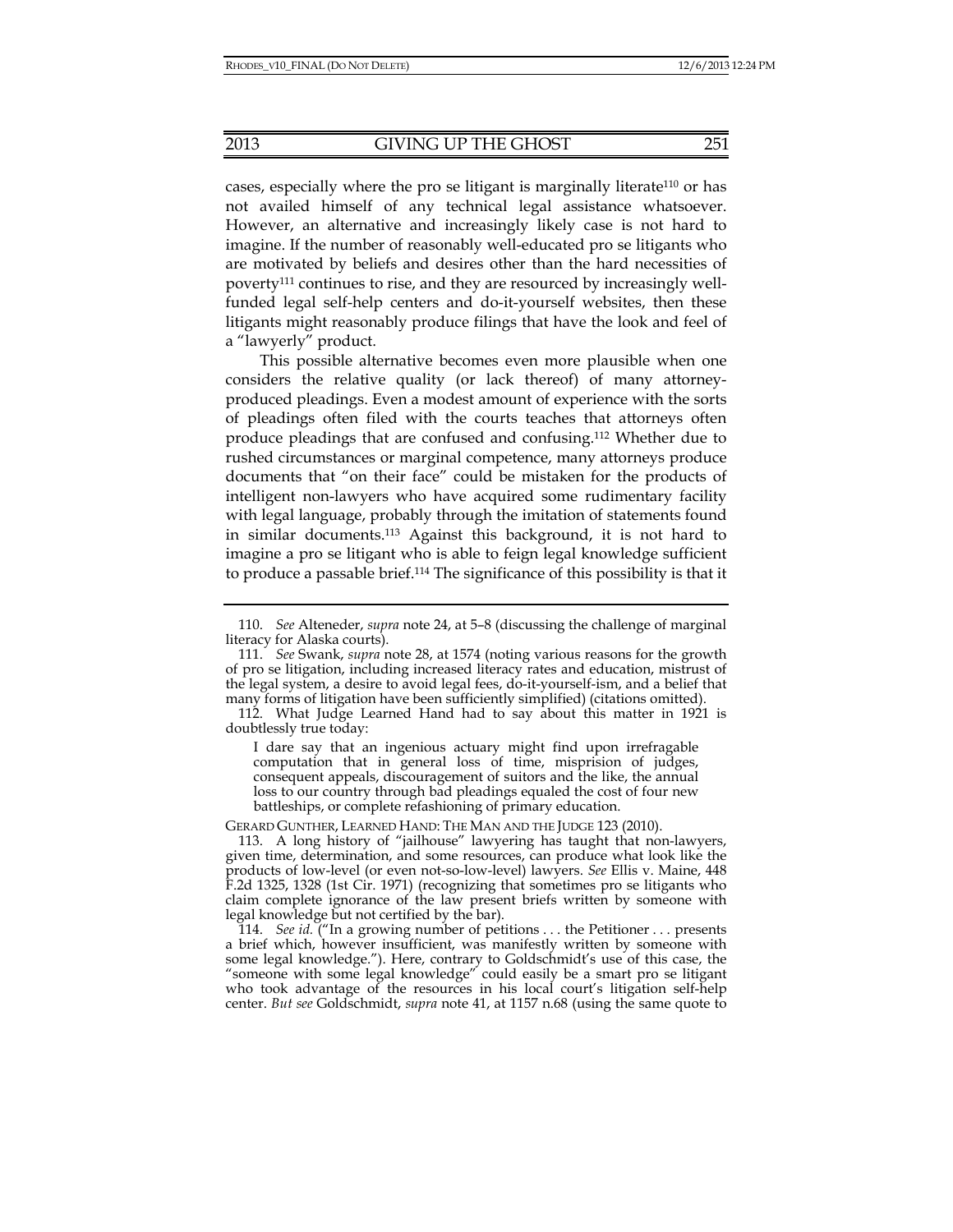cases, especially where the pro se litigant is marginally literate<sup>110</sup> or has not availed himself of any technical legal assistance whatsoever. However, an alternative and increasingly likely case is not hard to imagine. If the number of reasonably well-educated pro se litigants who are motivated by beliefs and desires other than the hard necessities of poverty111 continues to rise, and they are resourced by increasingly wellfunded legal self-help centers and do-it-yourself websites, then these litigants might reasonably produce filings that have the look and feel of a "lawyerly" product.

This possible alternative becomes even more plausible when one considers the relative quality (or lack thereof) of many attorneyproduced pleadings. Even a modest amount of experience with the sorts of pleadings often filed with the courts teaches that attorneys often produce pleadings that are confused and confusing.112 Whether due to rushed circumstances or marginal competence, many attorneys produce documents that "on their face" could be mistaken for the products of intelligent non-lawyers who have acquired some rudimentary facility with legal language, probably through the imitation of statements found in similar documents.113 Against this background, it is not hard to imagine a pro se litigant who is able to feign legal knowledge sufficient to produce a passable brief.114 The significance of this possibility is that it

I dare say that an ingenious actuary might find upon irrefragable computation that in general loss of time, misprision of judges, consequent appeals, discouragement of suitors and the like, the annual loss to our country through bad pleadings equaled the cost of four new battleships, or complete refashioning of primary education.

GERARD GUNTHER, LEARNED HAND: THE MAN AND THE JUDGE 123 (2010).

 <sup>110.</sup> *See* Alteneder, *supra* note 24, at 5–8 (discussing the challenge of marginal literacy for Alaska courts).

 <sup>111.</sup> *See* Swank, *supra* note 28, at 1574 (noting various reasons for the growth of pro se litigation, including increased literacy rates and education, mistrust of the legal system, a desire to avoid legal fees, do-it-yourself-ism, and a belief that many forms of litigation have been sufficiently simplified) (citations omitted).

 <sup>112.</sup> What Judge Learned Hand had to say about this matter in 1921 is doubtlessly true today:

 <sup>113.</sup> A long history of "jailhouse" lawyering has taught that non-lawyers, given time, determination, and some resources, can produce what look like the products of low-level (or even not-so-low-level) lawyers. *See* Ellis v. Maine, 448 F.2d 1325, 1328 (1st Cir. 1971) (recognizing that sometimes pro se litigants who claim complete ignorance of the law present briefs written by someone with legal knowledge but not certified by the bar).

 <sup>114.</sup> *See id.* ("In a growing number of petitions . . . the Petitioner . . . presents a brief which, however insufficient, was manifestly written by someone with some legal knowledge."). Here, contrary to Goldschmidt's use of this case, the "someone with some legal knowledge" could easily be a smart pro se litigant who took advantage of the resources in his local court's litigation self-help center. *But see* Goldschmidt, *supra* note 41, at 1157 n.68 (using the same quote to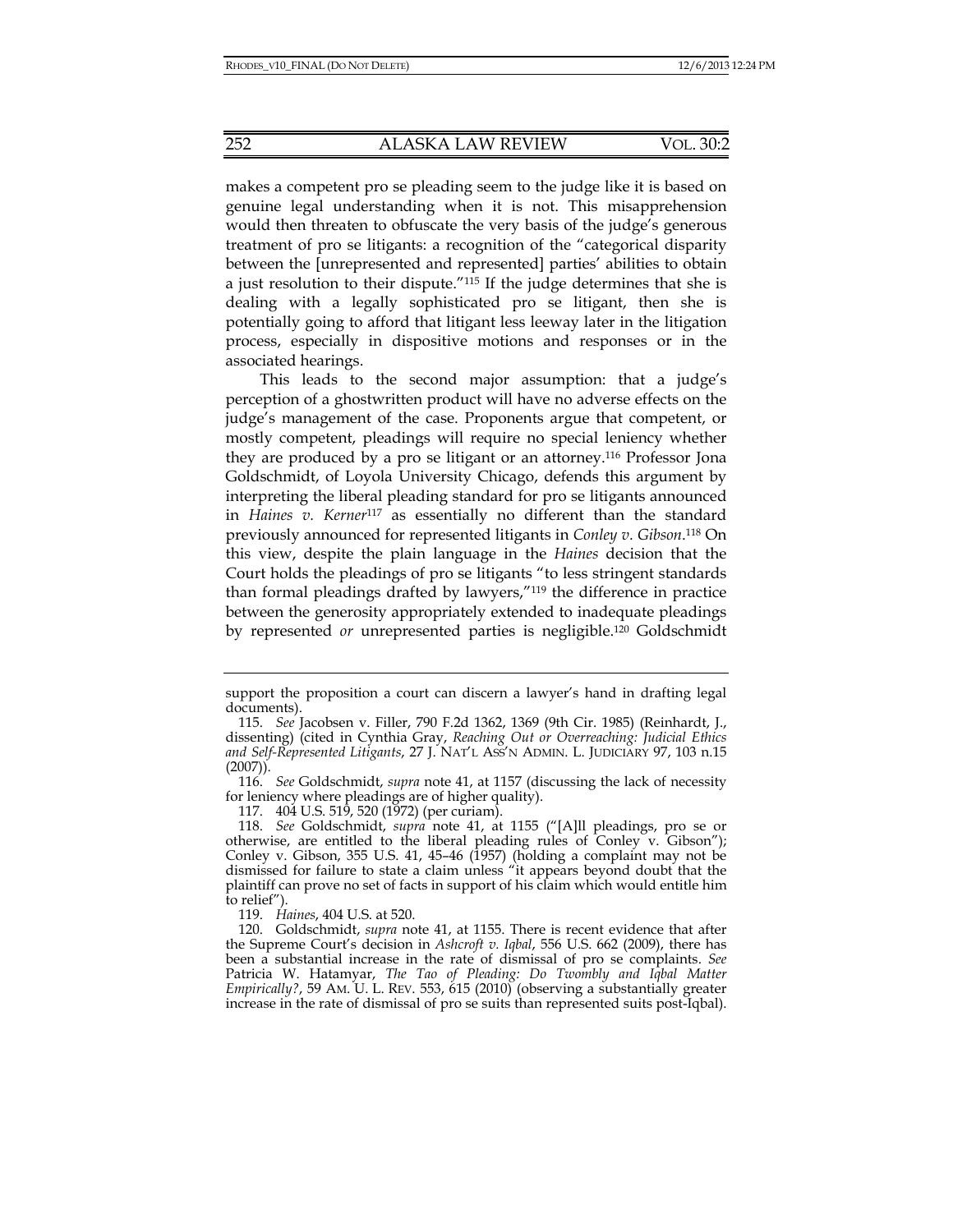makes a competent pro se pleading seem to the judge like it is based on genuine legal understanding when it is not. This misapprehension would then threaten to obfuscate the very basis of the judge's generous treatment of pro se litigants: a recognition of the "categorical disparity between the [unrepresented and represented] parties' abilities to obtain a just resolution to their dispute."115 If the judge determines that she is dealing with a legally sophisticated pro se litigant, then she is potentially going to afford that litigant less leeway later in the litigation process, especially in dispositive motions and responses or in the associated hearings.

This leads to the second major assumption: that a judge's perception of a ghostwritten product will have no adverse effects on the judge's management of the case. Proponents argue that competent, or mostly competent, pleadings will require no special leniency whether they are produced by a pro se litigant or an attorney.116 Professor Jona Goldschmidt, of Loyola University Chicago, defends this argument by interpreting the liberal pleading standard for pro se litigants announced in *Haines v. Kerner*117 as essentially no different than the standard previously announced for represented litigants in *Conley v. Gibson*. 118 On this view, despite the plain language in the *Haines* decision that the Court holds the pleadings of pro se litigants "to less stringent standards than formal pleadings drafted by lawyers,"119 the difference in practice between the generosity appropriately extended to inadequate pleadings by represented *or* unrepresented parties is negligible.120 Goldschmidt

support the proposition a court can discern a lawyer's hand in drafting legal documents).

 <sup>115.</sup> *See* Jacobsen v. Filler, 790 F.2d 1362, 1369 (9th Cir. 1985) (Reinhardt, J., dissenting) (cited in Cynthia Gray, *Reaching Out or Overreaching: Judicial Ethics and Self-Represented Litigants*, 27 J. NAT'L ASS'N ADMIN. L. JUDICIARY 97, 103 n.15 (2007)).

 <sup>116.</sup> *See* Goldschmidt, *supra* note 41, at 1157 (discussing the lack of necessity for leniency where pleadings are of higher quality).

 <sup>117. 404</sup> U.S. 519, 520 (1972) (per curiam).

 <sup>118.</sup> *See* Goldschmidt, *supra* note 41, at 1155 ("[A]ll pleadings, pro se or otherwise, are entitled to the liberal pleading rules of Conley v. Gibson"); Conley v. Gibson, 355 U.S. 41, 45–46 (1957) (holding a complaint may not be dismissed for failure to state a claim unless "it appears beyond doubt that the plaintiff can prove no set of facts in support of his claim which would entitle him to relief").

 <sup>119.</sup> *Haines*, 404 U.S. at 520.

 <sup>120.</sup> Goldschmidt, *supra* note 41, at 1155. There is recent evidence that after the Supreme Court's decision in *Ashcroft v. Iqbal*, 556 U.S. 662 (2009), there has been a substantial increase in the rate of dismissal of pro se complaints. *See* Patricia W. Hatamyar, *The Tao of Pleading: Do Twombly and Iqbal Matter Empirically?*, 59 AM. U. L. REV. 553, 615 (2010) (observing a substantially greater increase in the rate of dismissal of pro se suits than represented suits post-Iqbal).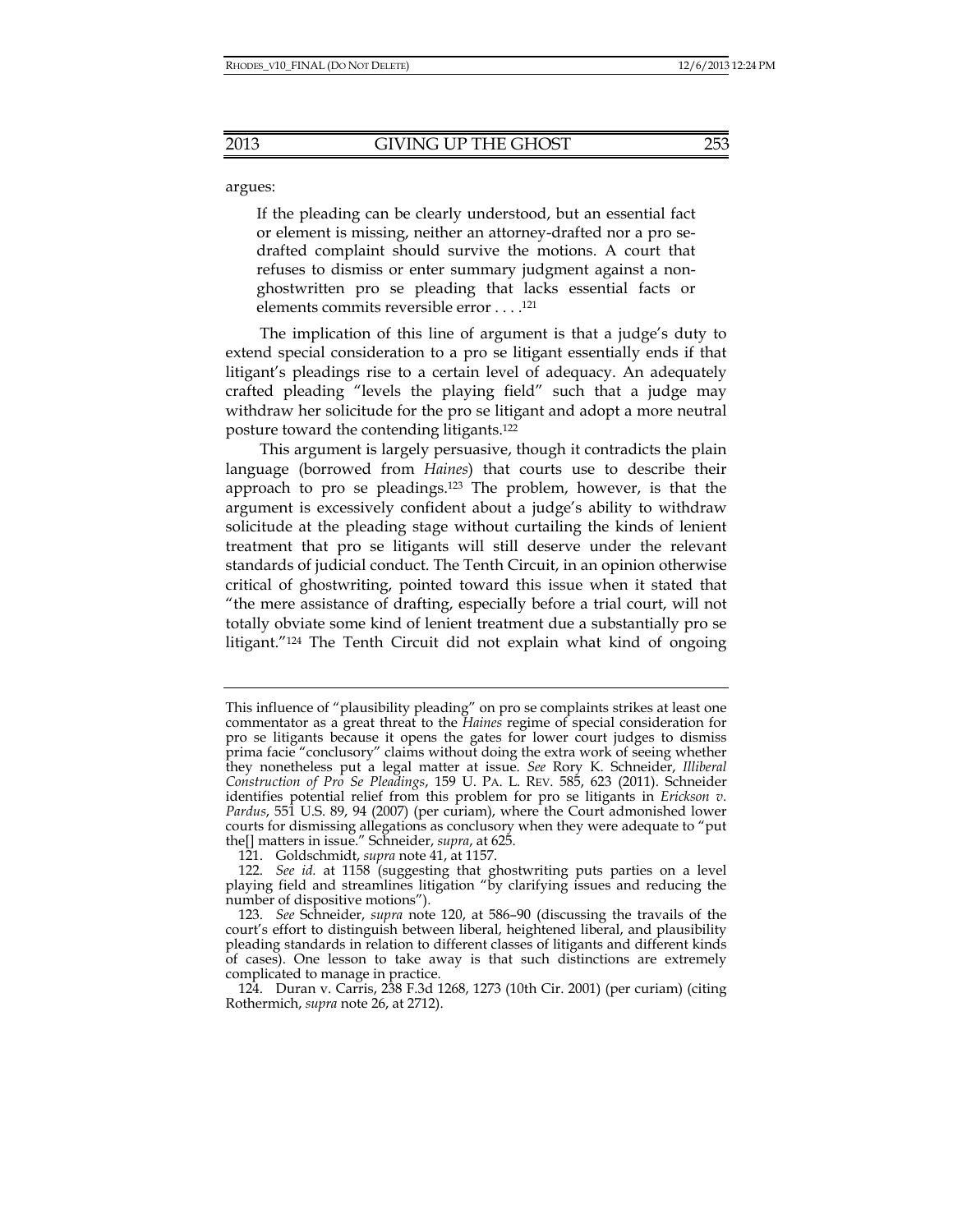argues:

If the pleading can be clearly understood, but an essential fact or element is missing, neither an attorney-drafted nor a pro sedrafted complaint should survive the motions. A court that refuses to dismiss or enter summary judgment against a nonghostwritten pro se pleading that lacks essential facts or elements commits reversible error . . . .121

The implication of this line of argument is that a judge's duty to extend special consideration to a pro se litigant essentially ends if that litigant's pleadings rise to a certain level of adequacy. An adequately crafted pleading "levels the playing field" such that a judge may withdraw her solicitude for the pro se litigant and adopt a more neutral posture toward the contending litigants.122

This argument is largely persuasive, though it contradicts the plain language (borrowed from *Haines*) that courts use to describe their approach to pro se pleadings.123 The problem, however, is that the argument is excessively confident about a judge's ability to withdraw solicitude at the pleading stage without curtailing the kinds of lenient treatment that pro se litigants will still deserve under the relevant standards of judicial conduct. The Tenth Circuit, in an opinion otherwise critical of ghostwriting, pointed toward this issue when it stated that "the mere assistance of drafting, especially before a trial court, will not totally obviate some kind of lenient treatment due a substantially pro se litigant."124 The Tenth Circuit did not explain what kind of ongoing

This influence of "plausibility pleading" on pro se complaints strikes at least one commentator as a great threat to the *Haines* regime of special consideration for pro se litigants because it opens the gates for lower court judges to dismiss prima facie "conclusory" claims without doing the extra work of seeing whether they nonetheless put a legal matter at issue. *See* Rory K. Schneider, *Illiberal Construction of Pro Se Pleadings*, 159 U. PA. L. REV. 585, 623 (2011). Schneider identifies potential relief from this problem for pro se litigants in *Erickson v. Pardus*, 551 U.S. 89, 94 (2007) (per curiam), where the Court admonished lower courts for dismissing allegations as conclusory when they were adequate to "put the[] matters in issue." Schneider, *supra*, at 625.

 <sup>121.</sup> Goldschmidt, *supra* note 41, at 1157.

 <sup>122.</sup> *See id.* at 1158 (suggesting that ghostwriting puts parties on a level playing field and streamlines litigation "by clarifying issues and reducing the number of dispositive motions").

 <sup>123.</sup> *See* Schneider, *supra* note 120, at 586–90 (discussing the travails of the court's effort to distinguish between liberal, heightened liberal, and plausibility pleading standards in relation to different classes of litigants and different kinds of cases). One lesson to take away is that such distinctions are extremely complicated to manage in practice.

 <sup>124.</sup> Duran v. Carris, 238 F.3d 1268, 1273 (10th Cir. 2001) (per curiam) (citing Rothermich, *supra* note 26, at 2712).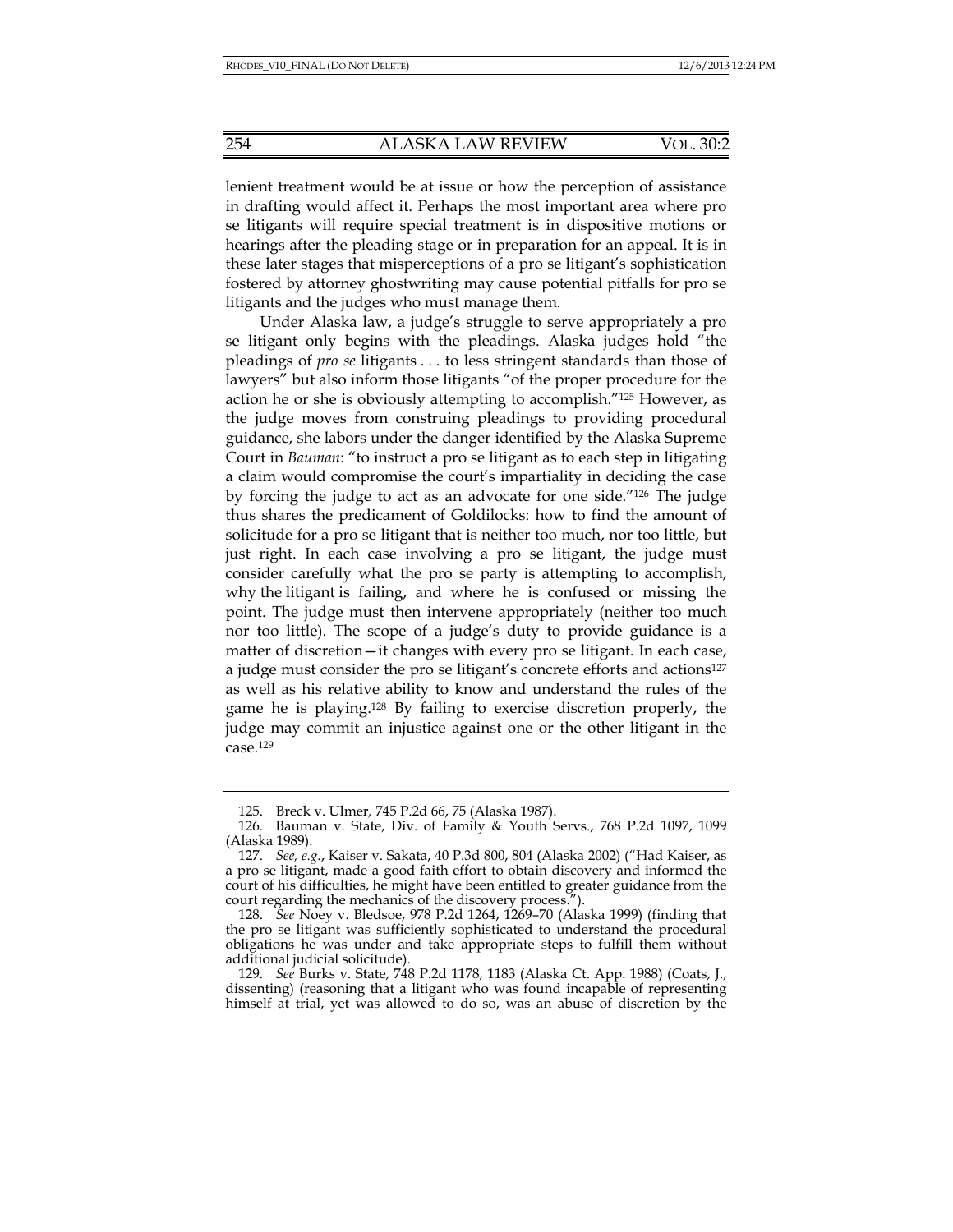lenient treatment would be at issue or how the perception of assistance in drafting would affect it. Perhaps the most important area where pro se litigants will require special treatment is in dispositive motions or hearings after the pleading stage or in preparation for an appeal. It is in these later stages that misperceptions of a pro se litigant's sophistication fostered by attorney ghostwriting may cause potential pitfalls for pro se litigants and the judges who must manage them.

Under Alaska law, a judge's struggle to serve appropriately a pro se litigant only begins with the pleadings. Alaska judges hold "the pleadings of *pro se* litigants . . . to less stringent standards than those of lawyers" but also inform those litigants "of the proper procedure for the action he or she is obviously attempting to accomplish."125 However, as the judge moves from construing pleadings to providing procedural guidance, she labors under the danger identified by the Alaska Supreme Court in *Bauman*: "to instruct a pro se litigant as to each step in litigating a claim would compromise the court's impartiality in deciding the case by forcing the judge to act as an advocate for one side."126 The judge thus shares the predicament of Goldilocks: how to find the amount of solicitude for a pro se litigant that is neither too much, nor too little, but just right. In each case involving a pro se litigant, the judge must consider carefully what the pro se party is attempting to accomplish, why the litigant is failing, and where he is confused or missing the point. The judge must then intervene appropriately (neither too much nor too little). The scope of a judge's duty to provide guidance is a matter of discretion—it changes with every pro se litigant. In each case, a judge must consider the pro se litigant's concrete efforts and actions<sup>127</sup> as well as his relative ability to know and understand the rules of the game he is playing.128 By failing to exercise discretion properly, the judge may commit an injustice against one or the other litigant in the case.129

 <sup>125.</sup> Breck v. Ulmer*,* 745 P.2d 66, 75 (Alaska 1987).

 <sup>126.</sup> Bauman v. State, Div. of Family & Youth Servs., 768 P.2d 1097, 1099 (Alaska 1989).

 <sup>127.</sup> *See, e.g.*, Kaiser v. Sakata, 40 P.3d 800, 804 (Alaska 2002) ("Had Kaiser, as a pro se litigant, made a good faith effort to obtain discovery and informed the court of his difficulties, he might have been entitled to greater guidance from the court regarding the mechanics of the discovery process.").

 <sup>128.</sup> *See* Noey v. Bledsoe, 978 P.2d 1264, 1269–70 (Alaska 1999) (finding that the pro se litigant was sufficiently sophisticated to understand the procedural obligations he was under and take appropriate steps to fulfill them without additional judicial solicitude).

 <sup>129.</sup> *See* Burks v. State, 748 P.2d 1178, 1183 (Alaska Ct. App. 1988) (Coats, J., dissenting) (reasoning that a litigant who was found incapable of representing himself at trial, yet was allowed to do so, was an abuse of discretion by the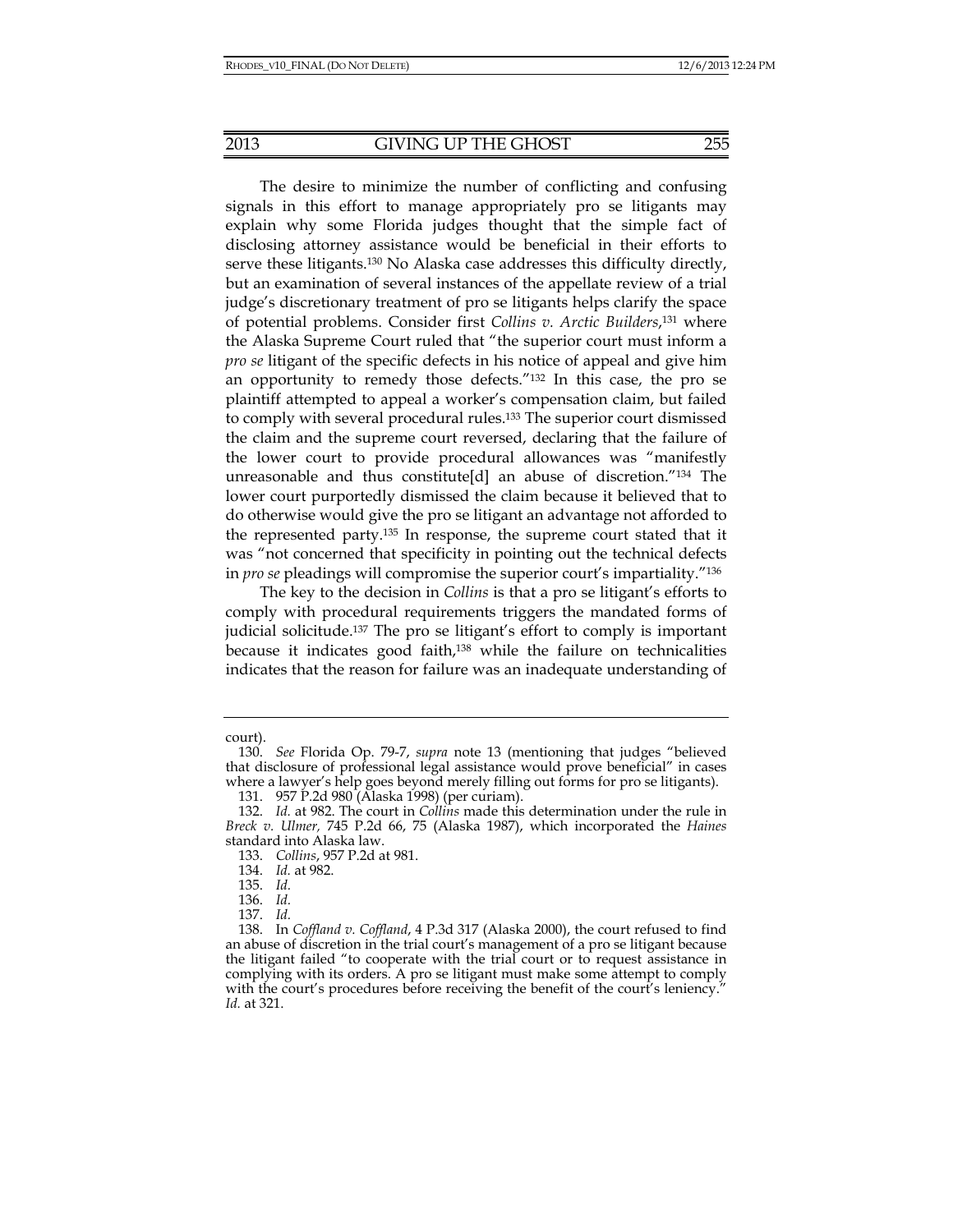The desire to minimize the number of conflicting and confusing signals in this effort to manage appropriately pro se litigants may explain why some Florida judges thought that the simple fact of disclosing attorney assistance would be beneficial in their efforts to serve these litigants.130 No Alaska case addresses this difficulty directly, but an examination of several instances of the appellate review of a trial judge's discretionary treatment of pro se litigants helps clarify the space of potential problems. Consider first *Collins v. Arctic Builders*, 131 where the Alaska Supreme Court ruled that "the superior court must inform a *pro se* litigant of the specific defects in his notice of appeal and give him an opportunity to remedy those defects."132 In this case, the pro se plaintiff attempted to appeal a worker's compensation claim, but failed to comply with several procedural rules.133 The superior court dismissed the claim and the supreme court reversed, declaring that the failure of the lower court to provide procedural allowances was "manifestly unreasonable and thus constitute[d] an abuse of discretion."134 The lower court purportedly dismissed the claim because it believed that to do otherwise would give the pro se litigant an advantage not afforded to the represented party.135 In response, the supreme court stated that it was "not concerned that specificity in pointing out the technical defects in *pro se* pleadings will compromise the superior court's impartiality."136

The key to the decision in *Collins* is that a pro se litigant's efforts to comply with procedural requirements triggers the mandated forms of judicial solicitude.137 The pro se litigant's effort to comply is important because it indicates good faith,<sup>138</sup> while the failure on technicalities indicates that the reason for failure was an inadequate understanding of

court).

 <sup>130.</sup> *See* Florida Op. 79-7, *supra* note 13 (mentioning that judges "believed that disclosure of professional legal assistance would prove beneficial" in cases where a lawyer's help goes beyond merely filling out forms for pro se litigants).

 <sup>131. 957</sup> P.2d 980 (Alaska 1998) (per curiam).

 <sup>132.</sup> *Id.* at 982. The court in *Collins* made this determination under the rule in *Breck v. Ulmer,* 745 P.2d 66, 75 (Alaska 1987), which incorporated the *Haines* standard into Alaska law.

 <sup>133.</sup> *Collins*, 957 P.2d at 981.

 <sup>134.</sup> *Id.* at 982.

 <sup>135.</sup> *Id.*

 <sup>136.</sup> *Id.*

 <sup>137.</sup> *Id.*

 <sup>138.</sup> In *Coffland v. Coffland*, 4 P.3d 317 (Alaska 2000), the court refused to find an abuse of discretion in the trial court's management of a pro se litigant because the litigant failed "to cooperate with the trial court or to request assistance in complying with its orders. A pro se litigant must make some attempt to comply with the court's procedures before receiving the benefit of the court's leniency." *Id.* at 321.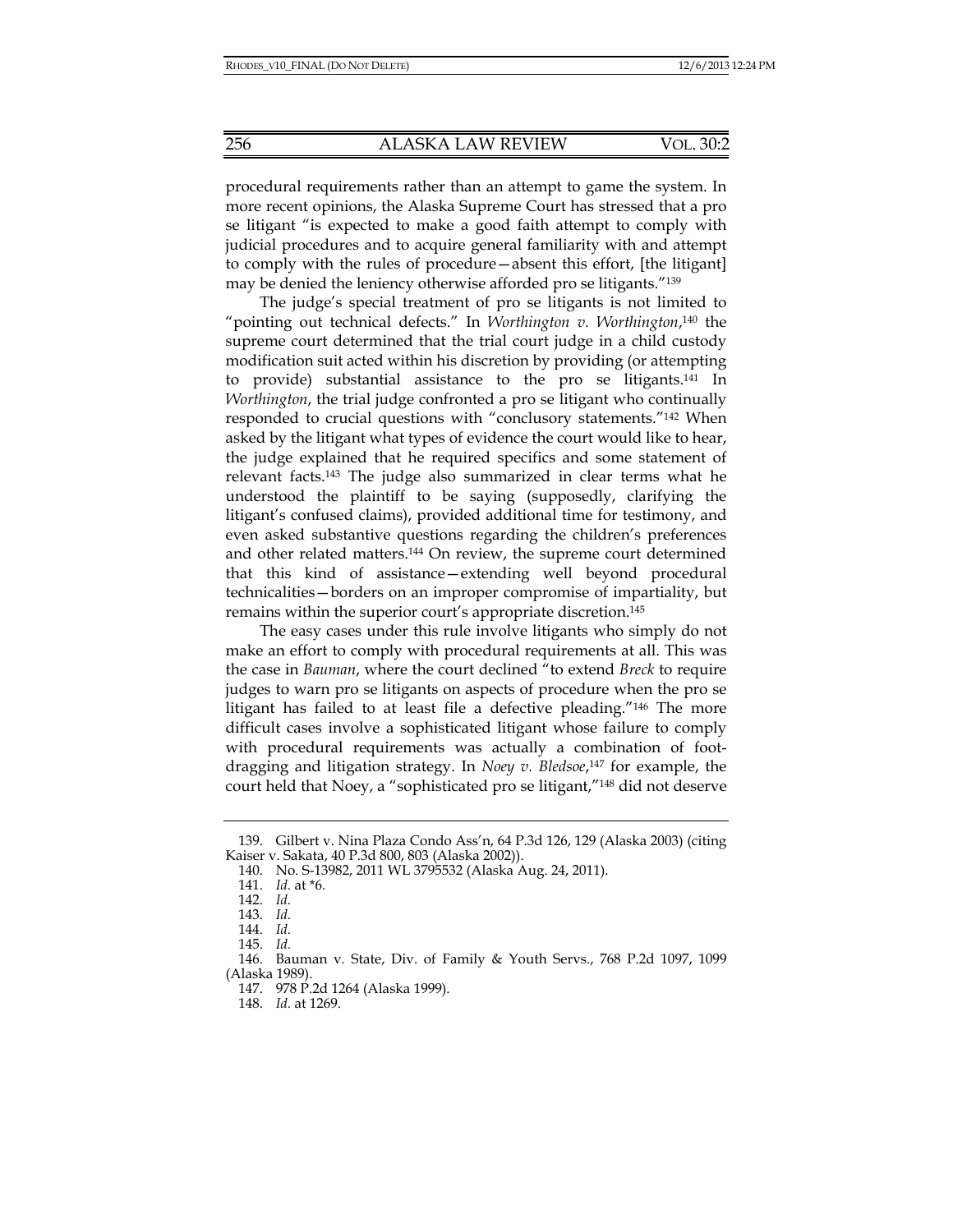procedural requirements rather than an attempt to game the system. In more recent opinions, the Alaska Supreme Court has stressed that a pro se litigant "is expected to make a good faith attempt to comply with judicial procedures and to acquire general familiarity with and attempt to comply with the rules of procedure—absent this effort, [the litigant] may be denied the leniency otherwise afforded pro se litigants."139

The judge's special treatment of pro se litigants is not limited to "pointing out technical defects." In *Worthington v. Worthington*, 140 the supreme court determined that the trial court judge in a child custody modification suit acted within his discretion by providing (or attempting to provide) substantial assistance to the pro se litigants.141 In *Worthington*, the trial judge confronted a pro se litigant who continually responded to crucial questions with "conclusory statements."142 When asked by the litigant what types of evidence the court would like to hear, the judge explained that he required specifics and some statement of relevant facts.143 The judge also summarized in clear terms what he understood the plaintiff to be saying (supposedly, clarifying the litigant's confused claims), provided additional time for testimony, and even asked substantive questions regarding the children's preferences and other related matters.144 On review, the supreme court determined that this kind of assistance—extending well beyond procedural technicalities—borders on an improper compromise of impartiality, but remains within the superior court's appropriate discretion.145

The easy cases under this rule involve litigants who simply do not make an effort to comply with procedural requirements at all. This was the case in *Bauman*, where the court declined "to extend *Breck* to require judges to warn pro se litigants on aspects of procedure when the pro se litigant has failed to at least file a defective pleading."146 The more difficult cases involve a sophisticated litigant whose failure to comply with procedural requirements was actually a combination of footdragging and litigation strategy. In *Noey v. Bledsoe*, 147 for example, the court held that Noey, a "sophisticated pro se litigant,"148 did not deserve

 <sup>139.</sup> Gilbert v. Nina Plaza Condo Ass'n, 64 P.3d 126, 129 (Alaska 2003) (citing Kaiser v. Sakata, 40 P.3d 800, 803 (Alaska 2002)).

 <sup>140.</sup> No. S-13982, 2011 WL 3795532 (Alaska Aug. 24, 2011).

 <sup>141.</sup> *Id.* at \*6.

 <sup>142.</sup> *Id.*

 <sup>143.</sup> *Id.*

 <sup>144.</sup> *Id.*

 <sup>145.</sup> *Id.*

 <sup>146.</sup> Bauman v. State, Div. of Family & Youth Servs., 768 P.2d 1097, 1099 (Alaska 1989).

 <sup>147. 978</sup> P.2d 1264 (Alaska 1999).

 <sup>148.</sup> *Id.* at 1269.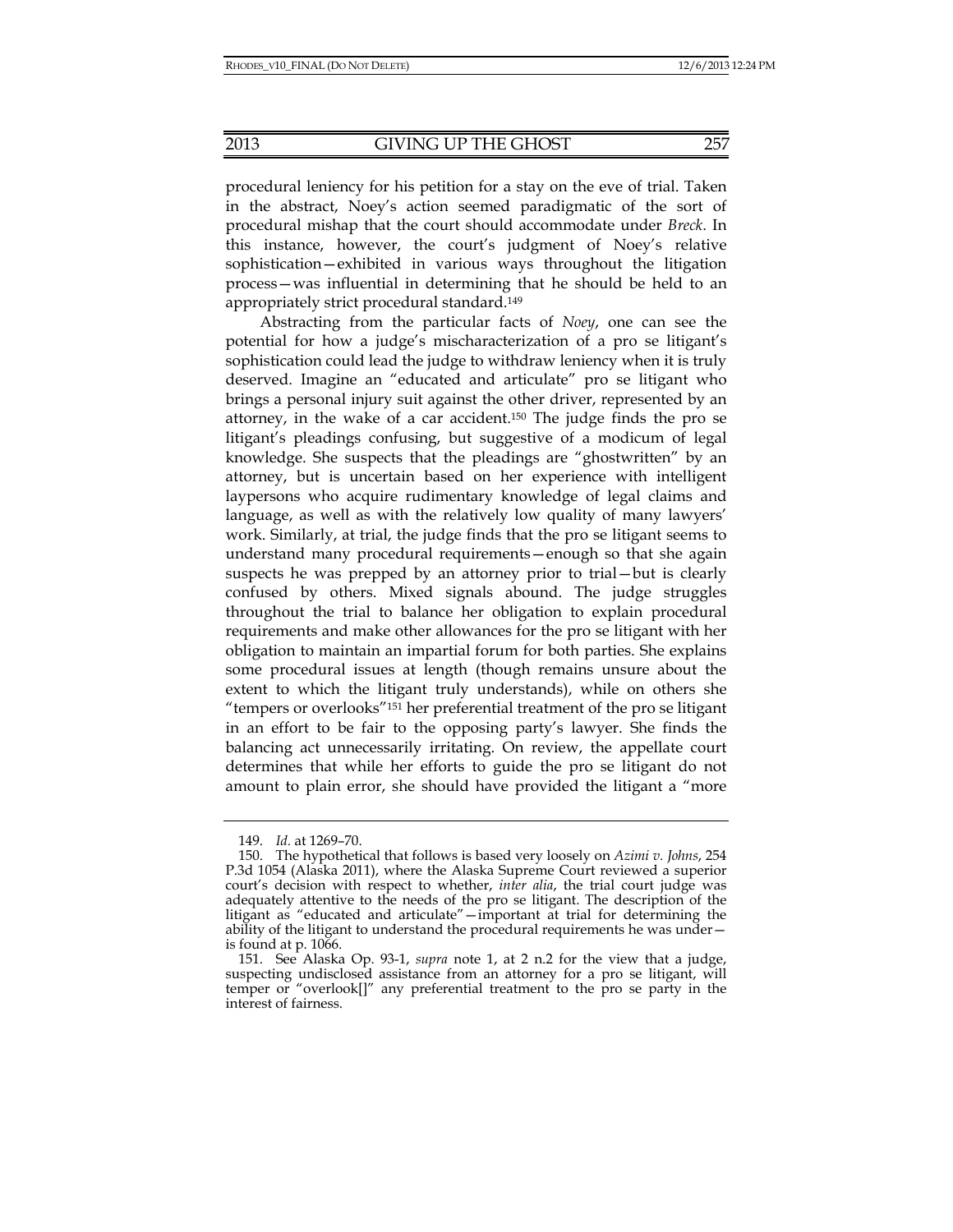procedural leniency for his petition for a stay on the eve of trial. Taken in the abstract, Noey's action seemed paradigmatic of the sort of procedural mishap that the court should accommodate under *Breck*. In this instance, however, the court's judgment of Noey's relative sophistication—exhibited in various ways throughout the litigation process—was influential in determining that he should be held to an

appropriately strict procedural standard.149

Abstracting from the particular facts of *Noey*, one can see the potential for how a judge's mischaracterization of a pro se litigant's sophistication could lead the judge to withdraw leniency when it is truly deserved. Imagine an "educated and articulate" pro se litigant who brings a personal injury suit against the other driver, represented by an attorney, in the wake of a car accident.150 The judge finds the pro se litigant's pleadings confusing, but suggestive of a modicum of legal knowledge. She suspects that the pleadings are "ghostwritten" by an attorney, but is uncertain based on her experience with intelligent laypersons who acquire rudimentary knowledge of legal claims and language, as well as with the relatively low quality of many lawyers' work. Similarly, at trial, the judge finds that the pro se litigant seems to understand many procedural requirements—enough so that she again suspects he was prepped by an attorney prior to trial—but is clearly confused by others. Mixed signals abound. The judge struggles throughout the trial to balance her obligation to explain procedural requirements and make other allowances for the pro se litigant with her obligation to maintain an impartial forum for both parties. She explains some procedural issues at length (though remains unsure about the extent to which the litigant truly understands), while on others she "tempers or overlooks"151 her preferential treatment of the pro se litigant in an effort to be fair to the opposing party's lawyer. She finds the balancing act unnecessarily irritating. On review, the appellate court determines that while her efforts to guide the pro se litigant do not amount to plain error, she should have provided the litigant a "more

 <sup>149.</sup> *Id.* at 1269–70.

 <sup>150.</sup> The hypothetical that follows is based very loosely on *Azimi v. Johns*, 254 P.3d 1054 (Alaska 2011), where the Alaska Supreme Court reviewed a superior court's decision with respect to whether, *inter alia*, the trial court judge was adequately attentive to the needs of the pro se litigant. The description of the litigant as "educated and articulate"—important at trial for determining the ability of the litigant to understand the procedural requirements he was under is found at p. 1066.

 <sup>151.</sup> See Alaska Op. 93-1, *supra* note 1, at 2 n.2 for the view that a judge, suspecting undisclosed assistance from an attorney for a pro se litigant, will temper or "overlook[]" any preferential treatment to the pro se party in the interest of fairness.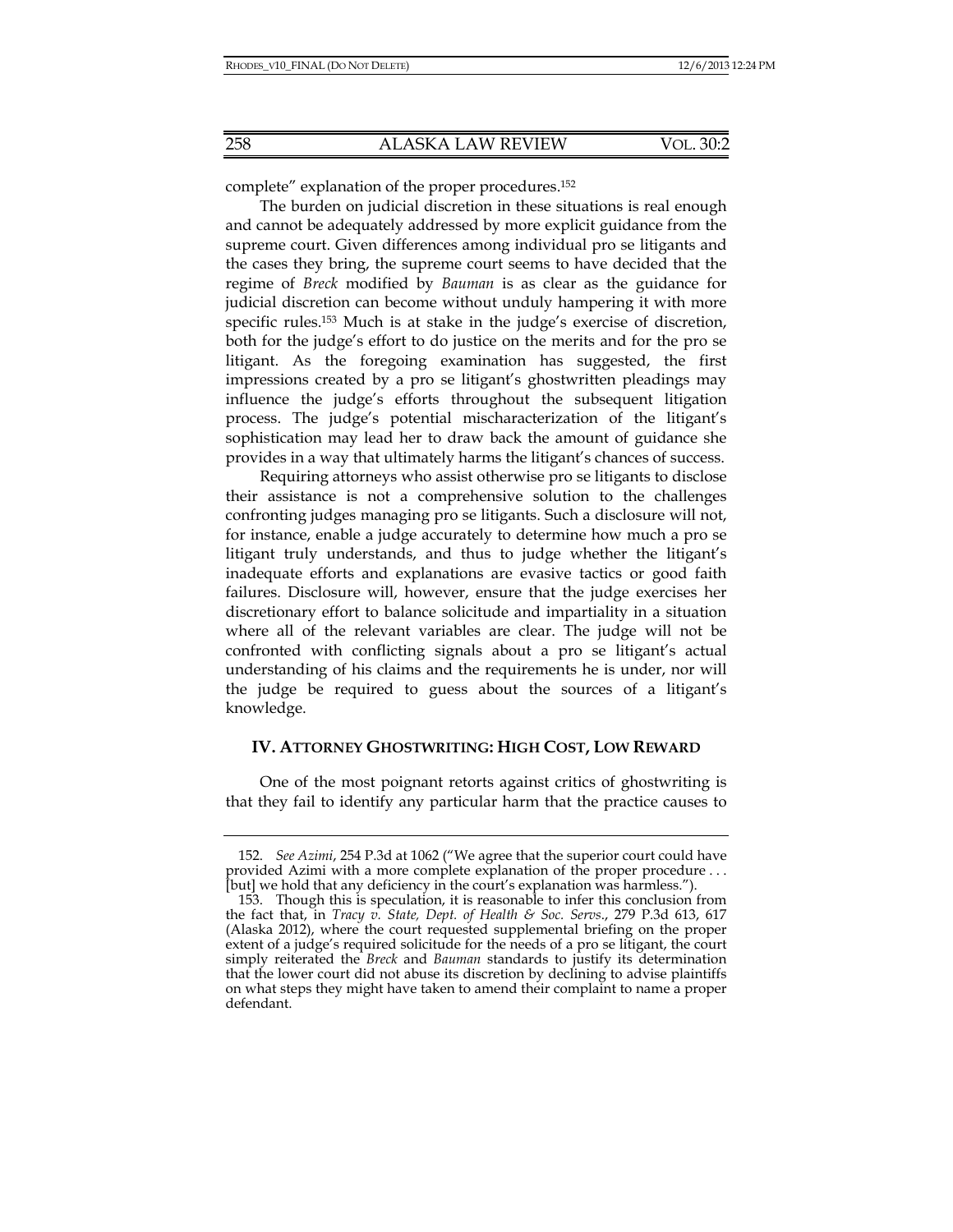complete" explanation of the proper procedures.152

The burden on judicial discretion in these situations is real enough and cannot be adequately addressed by more explicit guidance from the supreme court. Given differences among individual pro se litigants and the cases they bring, the supreme court seems to have decided that the regime of *Breck* modified by *Bauman* is as clear as the guidance for judicial discretion can become without unduly hampering it with more specific rules.153 Much is at stake in the judge's exercise of discretion, both for the judge's effort to do justice on the merits and for the pro se litigant. As the foregoing examination has suggested, the first impressions created by a pro se litigant's ghostwritten pleadings may influence the judge's efforts throughout the subsequent litigation process. The judge's potential mischaracterization of the litigant's sophistication may lead her to draw back the amount of guidance she provides in a way that ultimately harms the litigant's chances of success.

Requiring attorneys who assist otherwise pro se litigants to disclose their assistance is not a comprehensive solution to the challenges confronting judges managing pro se litigants. Such a disclosure will not, for instance, enable a judge accurately to determine how much a pro se litigant truly understands, and thus to judge whether the litigant's inadequate efforts and explanations are evasive tactics or good faith failures. Disclosure will, however, ensure that the judge exercises her discretionary effort to balance solicitude and impartiality in a situation where all of the relevant variables are clear. The judge will not be confronted with conflicting signals about a pro se litigant's actual understanding of his claims and the requirements he is under, nor will the judge be required to guess about the sources of a litigant's knowledge.

#### **IV. ATTORNEY GHOSTWRITING: HIGH COST, LOW REWARD**

One of the most poignant retorts against critics of ghostwriting is that they fail to identify any particular harm that the practice causes to

 <sup>152.</sup> *See Azimi*, 254 P.3d at 1062 ("We agree that the superior court could have provided Azimi with a more complete explanation of the proper procedure . . . [but] we hold that any deficiency in the court's explanation was harmless.").

 <sup>153.</sup> Though this is speculation, it is reasonable to infer this conclusion from the fact that, in *Tracy v. State, Dept. of Health & Soc. Servs*., 279 P.3d 613, 617 (Alaska 2012), where the court requested supplemental briefing on the proper extent of a judge's required solicitude for the needs of a pro se litigant, the court simply reiterated the *Breck* and *Bauman* standards to justify its determination that the lower court did not abuse its discretion by declining to advise plaintiffs on what steps they might have taken to amend their complaint to name a proper defendant.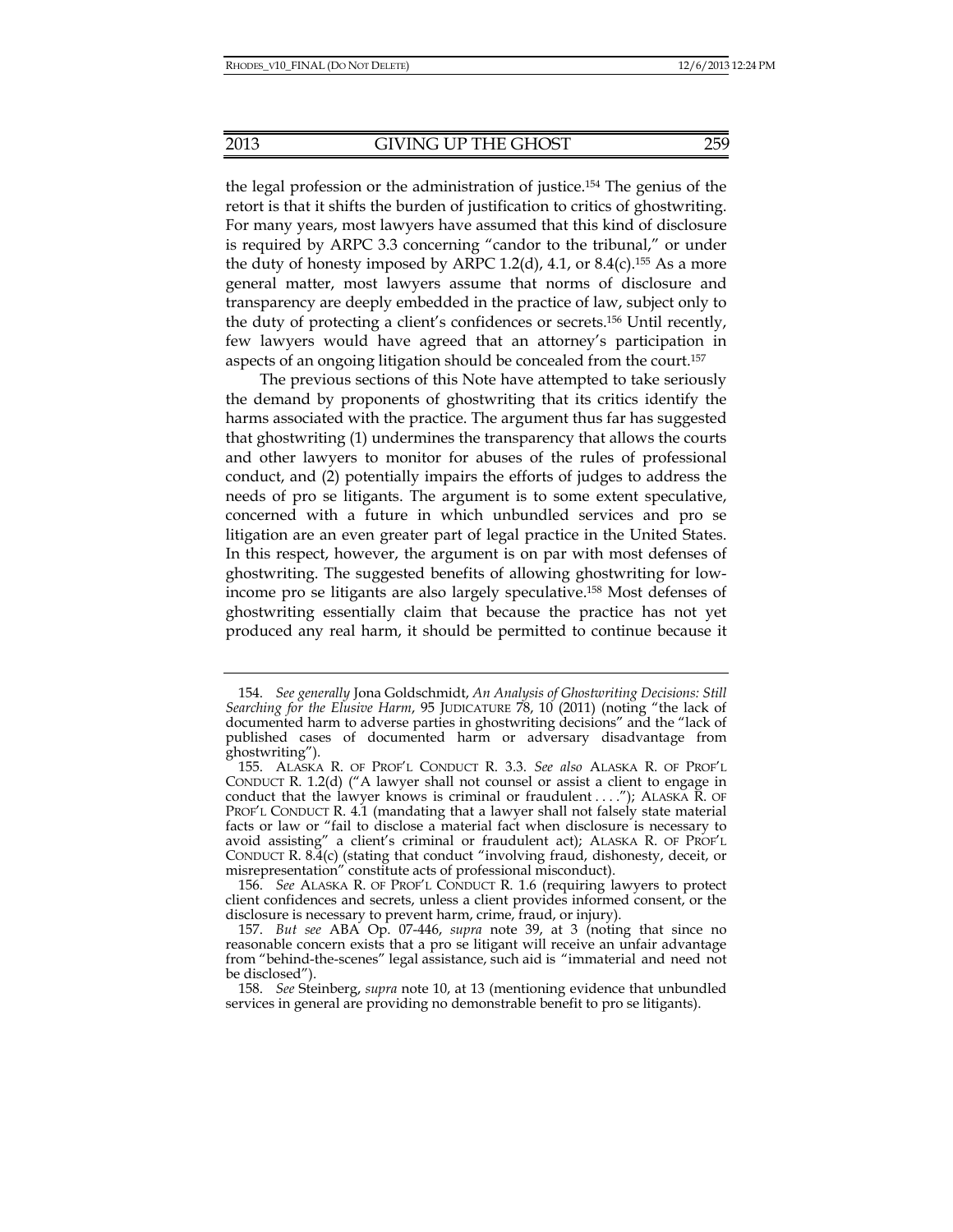the legal profession or the administration of justice.154 The genius of the retort is that it shifts the burden of justification to critics of ghostwriting. For many years, most lawyers have assumed that this kind of disclosure is required by ARPC 3.3 concerning "candor to the tribunal," or under the duty of honesty imposed by ARPC 1.2(d), 4.1, or  $8.4$ (c).<sup>155</sup> As a more general matter, most lawyers assume that norms of disclosure and transparency are deeply embedded in the practice of law, subject only to the duty of protecting a client's confidences or secrets.156 Until recently, few lawyers would have agreed that an attorney's participation in aspects of an ongoing litigation should be concealed from the court.157

The previous sections of this Note have attempted to take seriously the demand by proponents of ghostwriting that its critics identify the harms associated with the practice. The argument thus far has suggested that ghostwriting (1) undermines the transparency that allows the courts and other lawyers to monitor for abuses of the rules of professional conduct, and (2) potentially impairs the efforts of judges to address the needs of pro se litigants. The argument is to some extent speculative, concerned with a future in which unbundled services and pro se litigation are an even greater part of legal practice in the United States. In this respect, however, the argument is on par with most defenses of ghostwriting. The suggested benefits of allowing ghostwriting for lowincome pro se litigants are also largely speculative.158 Most defenses of ghostwriting essentially claim that because the practice has not yet produced any real harm, it should be permitted to continue because it

 <sup>154.</sup> *See generally* Jona Goldschmidt, *An Analysis of Ghostwriting Decisions: Still Searching for the Elusive Harm*, 95 JUDICATURE 78, 10 (2011) (noting "the lack of documented harm to adverse parties in ghostwriting decisions" and the "lack of published cases of documented harm or adversary disadvantage from ghostwriting").

 <sup>155.</sup> ALASKA R. OF PROF'L CONDUCT R. 3.3. *See also* ALASKA R. OF PROF'L CONDUCT R. 1.2(d) ("A lawyer shall not counsel or assist a client to engage in conduct that the lawyer knows is criminal or fraudulent  $\dots$ ,"); ALASKA R. OF PROF'L CONDUCT R. 4.1 (mandating that a lawyer shall not falsely state material facts or law or "fail to disclose a material fact when disclosure is necessary to avoid assisting" a client's criminal or fraudulent act); ALASKA R. OF PROF'L CONDUCT R. 8.4(c) (stating that conduct "involving fraud, dishonesty, deceit, or misrepresentation" constitute acts of professional misconduct).

 <sup>156.</sup> *See* ALASKA R. OF PROF'L CONDUCT R. 1.6 (requiring lawyers to protect client confidences and secrets, unless a client provides informed consent, or the disclosure is necessary to prevent harm, crime, fraud, or injury).

 <sup>157.</sup> *But see* ABA Op. 07-446, *supra* note 39, at 3 (noting that since no reasonable concern exists that a pro se litigant will receive an unfair advantage from "behind-the-scenes" legal assistance, such aid is "immaterial and need not be disclosed").

 <sup>158.</sup> *See* Steinberg, *supra* note 10, at 13 (mentioning evidence that unbundled services in general are providing no demonstrable benefit to pro se litigants).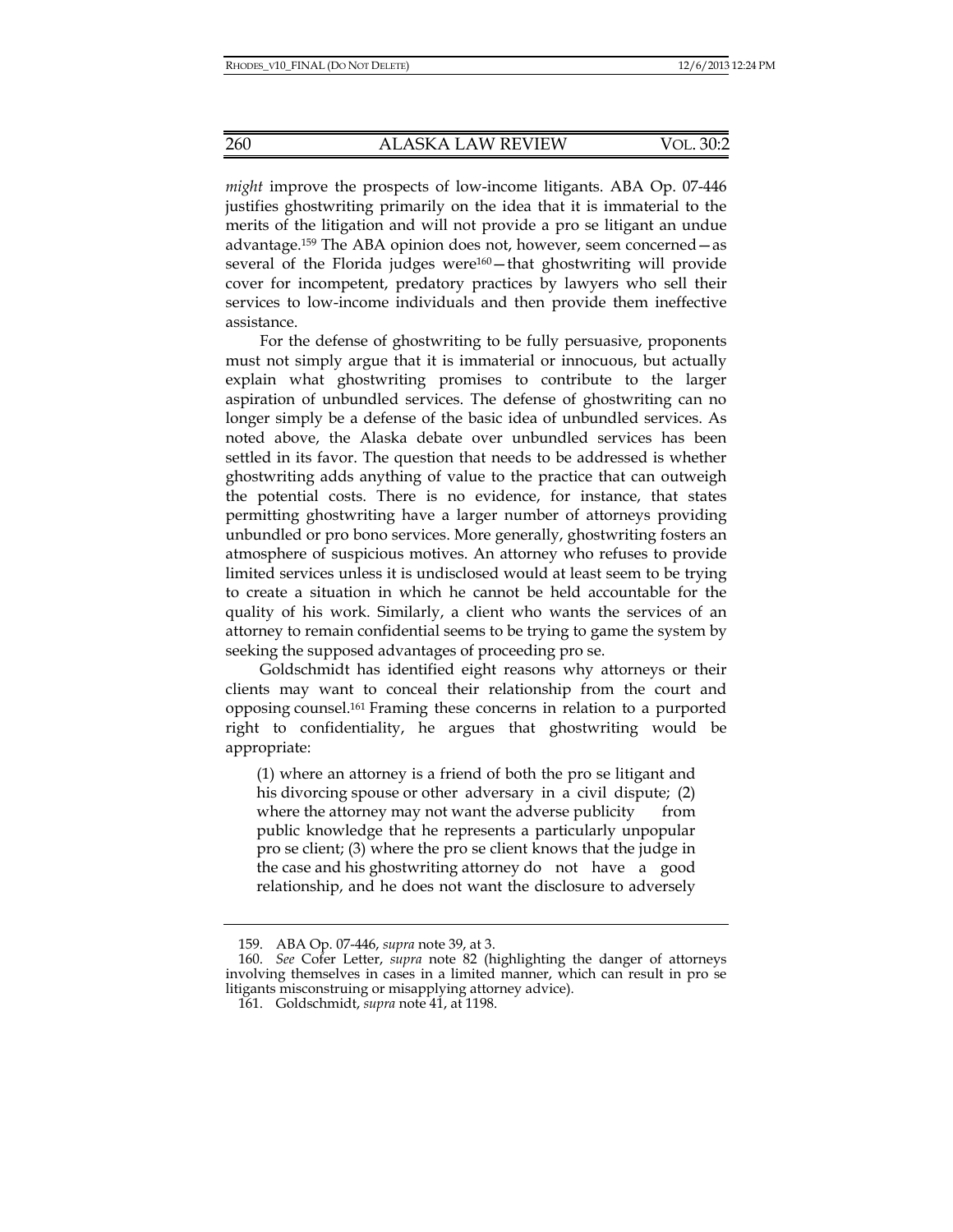*might* improve the prospects of low-income litigants. ABA Op. 07-446 justifies ghostwriting primarily on the idea that it is immaterial to the merits of the litigation and will not provide a pro se litigant an undue advantage.159 The ABA opinion does not, however, seem concerned—as several of the Florida judges were<sup>160</sup>-that ghostwriting will provide cover for incompetent, predatory practices by lawyers who sell their services to low-income individuals and then provide them ineffective assistance.

For the defense of ghostwriting to be fully persuasive, proponents must not simply argue that it is immaterial or innocuous, but actually explain what ghostwriting promises to contribute to the larger aspiration of unbundled services. The defense of ghostwriting can no longer simply be a defense of the basic idea of unbundled services. As noted above, the Alaska debate over unbundled services has been settled in its favor. The question that needs to be addressed is whether ghostwriting adds anything of value to the practice that can outweigh the potential costs. There is no evidence, for instance, that states permitting ghostwriting have a larger number of attorneys providing unbundled or pro bono services. More generally, ghostwriting fosters an atmosphere of suspicious motives. An attorney who refuses to provide limited services unless it is undisclosed would at least seem to be trying to create a situation in which he cannot be held accountable for the quality of his work. Similarly, a client who wants the services of an attorney to remain confidential seems to be trying to game the system by seeking the supposed advantages of proceeding pro se.

Goldschmidt has identified eight reasons why attorneys or their clients may want to conceal their relationship from the court and opposing counsel.161 Framing these concerns in relation to a purported right to confidentiality, he argues that ghostwriting would be appropriate:

(1) where an attorney is a friend of both the pro se litigant and his divorcing spouse or other adversary in a civil dispute; (2) where the attorney may not want the adverse publicity from public knowledge that he represents a particularly unpopular pro se client; (3) where the pro se client knows that the judge in the case and his ghostwriting attorney do not have a good relationship, and he does not want the disclosure to adversely

 <sup>159.</sup> ABA Op. 07-446, *supra* note 39, at 3.

 <sup>160.</sup> *See* Cofer Letter, *supra* note 82 (highlighting the danger of attorneys involving themselves in cases in a limited manner, which can result in pro se litigants misconstruing or misapplying attorney advice).

 <sup>161.</sup> Goldschmidt, *supra* note 41, at 1198.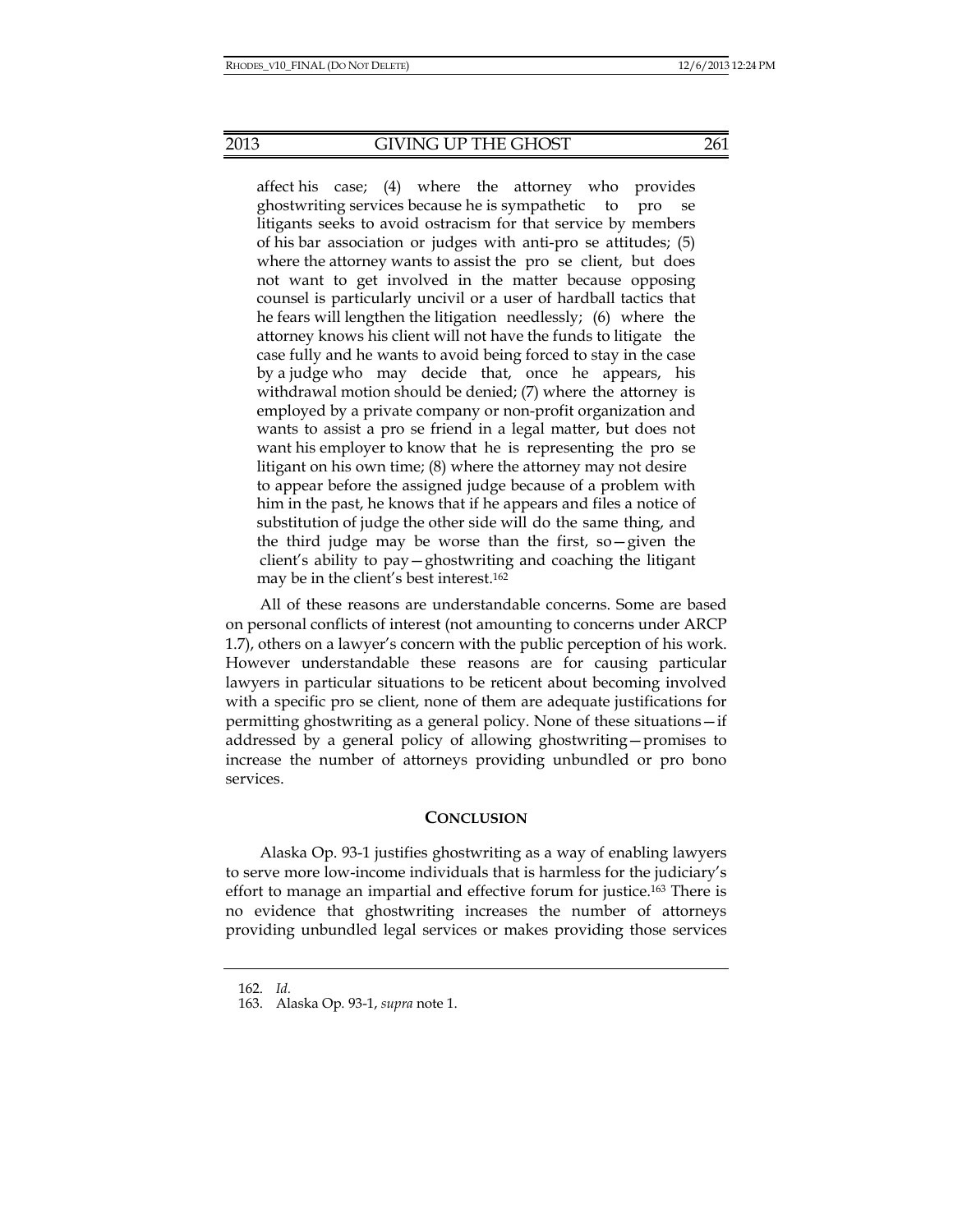affect his case; (4) where the attorney who provides ghostwriting services because he is sympathetic to pro se litigants seeks to avoid ostracism for that service by members of his bar association or judges with anti-pro se attitudes; (5) where the attorney wants to assist the pro se client, but does not want to get involved in the matter because opposing counsel is particularly uncivil or a user of hardball tactics that he fears will lengthen the litigation needlessly; (6) where the attorney knows his client will not have the funds to litigate the case fully and he wants to avoid being forced to stay in the case by a judge who may decide that, once he appears, his withdrawal motion should be denied; (7) where the attorney is employed by a private company or non-profit organization and wants to assist a pro se friend in a legal matter, but does not want his employer to know that he is representing the pro se litigant on his own time; (8) where the attorney may not desire to appear before the assigned judge because of a problem with him in the past, he knows that if he appears and files a notice of substitution of judge the other side will do the same thing, and the third judge may be worse than the first, so—given the client's ability to pay—ghostwriting and coaching the litigant may be in the client's best interest.162

All of these reasons are understandable concerns. Some are based on personal conflicts of interest (not amounting to concerns under ARCP 1.7), others on a lawyer's concern with the public perception of his work. However understandable these reasons are for causing particular lawyers in particular situations to be reticent about becoming involved with a specific pro se client, none of them are adequate justifications for permitting ghostwriting as a general policy. None of these situations—if addressed by a general policy of allowing ghostwriting—promises to increase the number of attorneys providing unbundled or pro bono services.

#### **CONCLUSION**

Alaska Op. 93-1 justifies ghostwriting as a way of enabling lawyers to serve more low-income individuals that is harmless for the judiciary's effort to manage an impartial and effective forum for justice.163 There is no evidence that ghostwriting increases the number of attorneys providing unbundled legal services or makes providing those services

 <sup>162.</sup> *Id.*

 <sup>163.</sup> Alaska Op*.* 93-1, *supra* note 1.